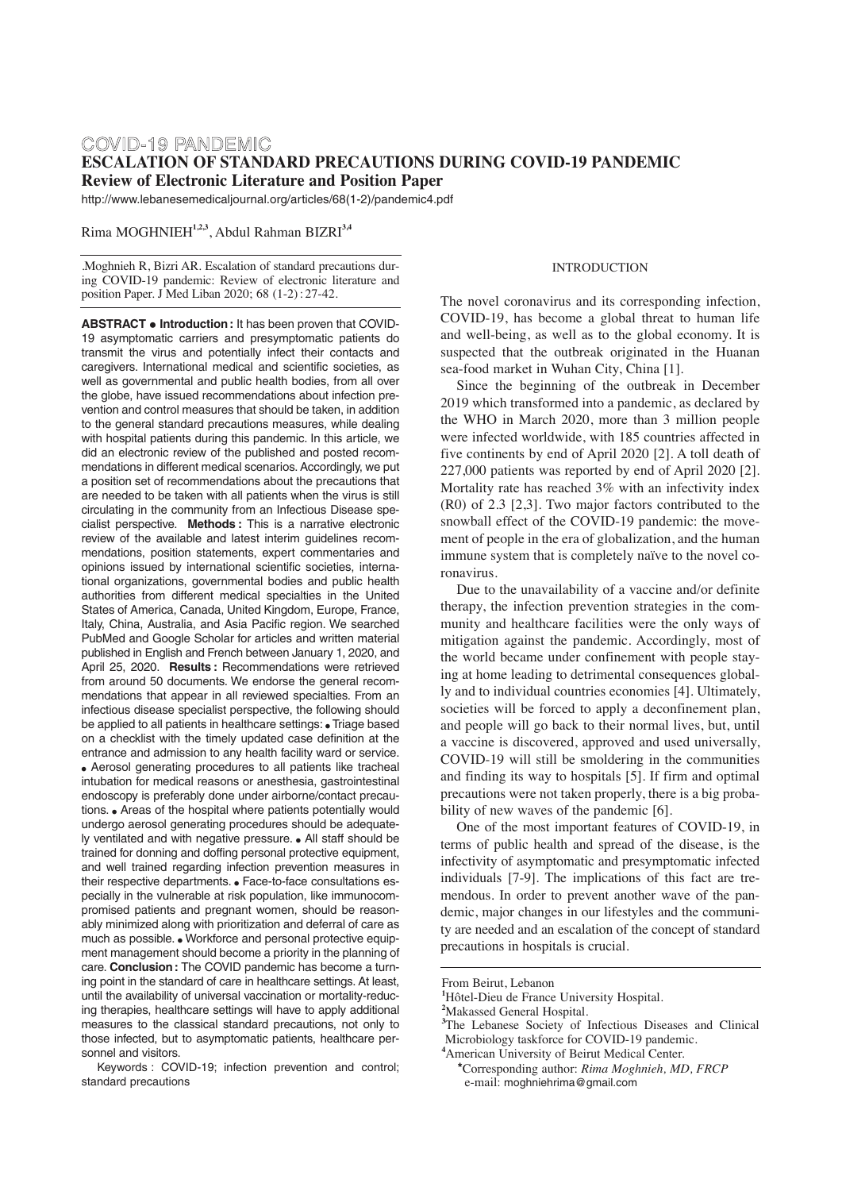### COVID-19 PANDEMIC **ESCALATION OF STANDARD PRECAUTIONS DURING COVID-19 PANDEMIC Review of Electronic Literature and Position Paper**

http://www.lebanesemedicaljournal.org/articles/68(1-2)/pandemic4.pdf

Rima MOGHNIEH**1,2,3**, Abdul Rahman BIZRI**3,4**

.Moghnieh R, Bizri AR. Escalation of standard precautions during COVID-19 pandemic: Review of electronic literature and position Paper. J Med Liban 2020; 68 (1-2) : 27-42.

**ABSTRACT • Introduction:** It has been proven that COVID-19 asymptomatic carriers and presymptomatic patients do transmit the virus and potentially infect their contacts and caregivers. International medical and scientific societies, as well as governmental and public health bodies, from all over the globe, have issued recommendations about infection prevention and control measures that should be taken, in addition to the general standard precautions measures, while dealing with hospital patients during this pandemic. In this article, we did an electronic review of the published and posted recommendations in different medical scenarios. Accordingly, we put a position set of recommendations about the precautions that are needed to be taken with all patients when the virus is still circulating in the community from an Infectious Disease specialist perspective. **Methods :** This is a narrative electronic review of the available and latest interim guidelines recommendations, position statements, expert commentaries and opinions issued by international scientific societies, international organizations, governmental bodies and public health authorities from different medical specialties in the United States of America, Canada, United Kingdom, Europe, France, Italy, China, Australia, and Asia Pacific region. We searched PubMed and Google Scholar for articles and written material published in English and French between January 1, 2020, and April 25, 2020. **Results :** Recommendations were retrieved from around 50 documents. We endorse the general recommendations that appear in all reviewed specialties. From an infectious disease specialist perspective, the following should be applied to all patients in healthcare settings: • Triage based on a checklist with the timely updated case definition at the entrance and admission to any health facility ward or service. • Aerosol generating procedures to all patients like tracheal intubation for medical reasons or anesthesia, gastrointestinal endoscopy is preferably done under airborne/contact precautions. • Areas of the hospital where patients potentially would undergo aerosol generating procedures should be adequately ventilated and with negative pressure. • All staff should be trained for donning and doffing personal protective equipment, and well trained regarding infection prevention measures in their respective departments. • Face-to-face consultations especially in the vulnerable at risk population, like immunocompromised patients and pregnant women, should be reasonably minimized along with prioritization and deferral of care as much as possible. • Workforce and personal protective equipment management should become a priority in the planning of care. **Conclusion:** The COVID pandemic has become a turning point in the standard of care in healthcare settings. At least, until the availability of universal vaccination or mortality-reducing therapies, healthcare settings will have to apply additional measures to the classical standard precautions, not only to those infected, but to asymptomatic patients, healthcare personnel and visitors.

Keywords : COVID-19; infection prevention and control; standard precautions

### **INTRODUCTION**

The novel coronavirus and its corresponding infection, COVID-19, has become a global threat to human life and well-being, as well as to the global economy. It is suspected that the outbreak originated in the Huanan sea-food market in Wuhan City, China [1].

Since the beginning of the outbreak in December 2019 which transformed into a pandemic, as declared by the WHO in March 2020, more than 3 million people were infected worldwide, with 185 countries affected in five continents by end of April 2020 [2]. A toll death of 227,000 patients was reported by end of April 2020 [2]. Mortality rate has reached 3% with an infectivity index (R0) of 2.3 [2,3]. Two major factors contributed to the snowball effect of the COVID-19 pandemic: the movement of people in the era of globalization, and the human immune system that is completely naïve to the novel coronavirus.

Due to the unavailability of a vaccine and/or definite therapy, the infection prevention strategies in the community and healthcare facilities were the only ways of mitigation against the pandemic. Accordingly, most of the world became under confinement with people staying at home leading to detrimental consequences globally and to individual countries economies [4]. Ultimately, societies will be forced to apply a deconfinement plan, and people will go back to their normal lives, but, until a vaccine is discovered, approved and used universally, COVID-19 will still be smoldering in the communities and finding its way to hospitals [5]. If firm and optimal precautions were not taken properly, there is a big probability of new waves of the pandemic [6].

One of the most important features of COVID-19, in terms of public health and spread of the disease, is the infectivity of asymptomatic and presymptomatic infected individuals [7-9]. The implications of this fact are tremendous. In order to prevent another wave of the pandemic, major changes in our lifestyles and the community are needed and an escalation of the concept of standard precautions in hospitals is crucial.

From Beirut, Lebanon

**<sup>1</sup>** Hôtel-Dieu de France University Hospital.

**<sup>2</sup>** Makassed General Hospital.

<sup>&</sup>lt;sup>3</sup>The Lebanese Society of Infectious Diseases and Clinical Microbiology taskforce for COVID-19 pandemic.

**<sup>4</sup>** American University of Beirut Medical Center.

**<sup>\*</sup>**Corresponding author: *Rima Moghnieh, MD, FRCP* e-mail: moghniehrima@gmail.com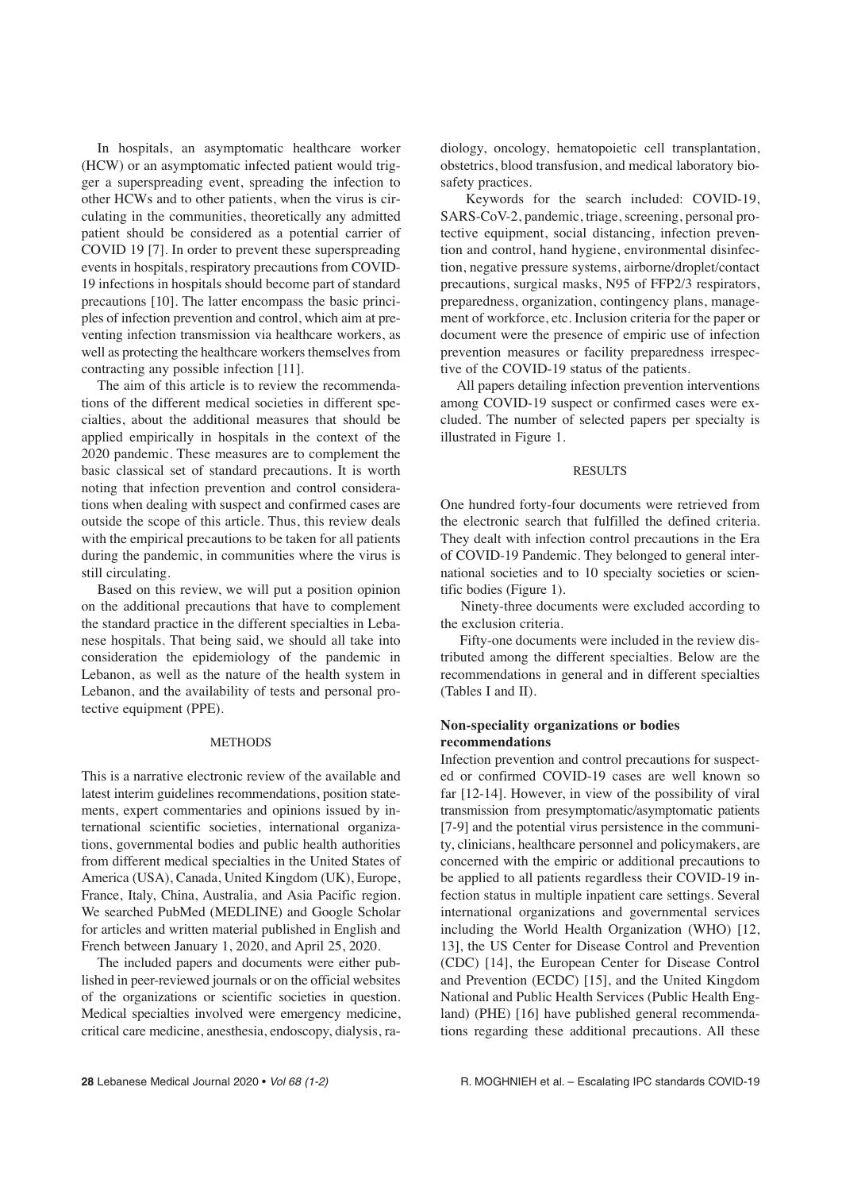In hospitals, an asymptomatic healthcare worker (HCW) or an asymptomatic infected patient would trigger a superspreading event, spreading the infection to other HCWs and to other patients, when the virus is circulating in the communities, theoretically any admitted patient should be considered as a potential carrier of COVID 19 [7]. In order to prevent these superspreading events in hospitals, respiratory precautions from COVID-19 infections in hospitals should become part of standard precautions [10]. The latter encompass the basic principles of infection prevention and control, which aim at preventing infection transmission via healthcare workers, as well as protecting the healthcare workers themselves from contracting any possible infection [11].

The aim of this article is to review the recommendations of the different medical societies in different specialties, about the additional measures that should be applied empirically in hospitals in the context of the 2020 pandemic. These measures are to complement the basic classical set of standard precautions. It is worth noting that infection prevention and control considerations when dealing with suspect and confirmed cases are outside the scope of this article. Thus, this review deals with the empirical precautions to be taken for all patients during the pandemic, in communities where the virus is still circulating.

Based on this review, we will put a position opinion on the additional precautions that have to complement the standard practice in the different specialties in Lebanese hospitals. That being said, we should all take into consideration the epidemiology of the pandemic in Lebanon, as well as the nature of the health system in Lebanon, and the availability of tests and personal protective equipment (PPE).

#### **METHODS**

This is a narrative electronic review of the available and latest interim guidelines recommendations, position statements, expert commentaries and opinions issued by international scientific societies, international organizations, governmental bodies and public health authorities from different medical specialties in the United States of America (USA), Canada, United Kingdom (UK), Europe, France, Italy, China, Australia, and Asia Pacific region. We searched PubMed (MEDLINE) and Google Scholar for articles and written material published in English and French between January 1, 2020, and April 25, 2020.

The included papers and documents were either published in peer-reviewed journals or on the official websites of the organizations or scientific societies in question. Medical specialties involved were emergency medicine, critical care medicine, anesthesia, endoscopy, dialysis, radiology, oncology, hematopoietic cell transplantation, obstetrics, blood transfusion, and medical laboratory biosafety practices.

Keywords for the search included: COVID-19, SARS-CoV-2, pandemic, triage, screening, personal protective equipment, social distancing, infection prevention and control, hand hygiene, environmental disinfection, negative pressure systems, airborne/droplet/contact precautions, surgical masks, N95 of FFP2/3 respirators, preparedness, organization, contingency plans, management of workforce, etc. Inclusion criteria for the paper or document were the presence of empiric use of infection prevention measures or facility preparedness irrespective of the COVID-19 status of the patients.

All papers detailing infection prevention interventions among COVID-19 suspect or confirmed cases were excluded. The number of selected papers per specialty is illustrated in Figure 1.

### RESULTS

One hundred forty-four documents were retrieved from the electronic search that fulfilled the defined criteria. They dealt with infection control precautions in the Era of COVID-19 Pandemic. They belonged to general international societies and to 10 specialty societies or scientific bodies (Figure 1).

Ninety-three documents were excluded according to the exclusion criteria.

Fifty-one documents were included in the review distributed among the different specialties. Below are the recommendations in general and in different specialties (Tables I and II).

### **Non-speciality organizations or bodies recommendations**

Infection prevention and control precautions for suspected or confirmed COVID-19 cases are well known so far [12-14]. However, in view of the possibility of viral transmission from presymptomatic/asymptomatic patients [7-9] and the potential virus persistence in the community, clinicians, healthcare personnel and policymakers, are concerned with the empiric or additional precautions to be applied to all patients regardless their COVID-19 infection status in multiple inpatient care settings. Several international organizations and governmental services including the World Health Organization (WHO) [12, 13], the US Center for Disease Control and Prevention (CDC) [14], the European Center for Disease Control and Prevention (ECDC) [15], and the United Kingdom National and Public Health Services (Public Health England) (PHE) [16] have published general recommendations regarding these additional precautions. All these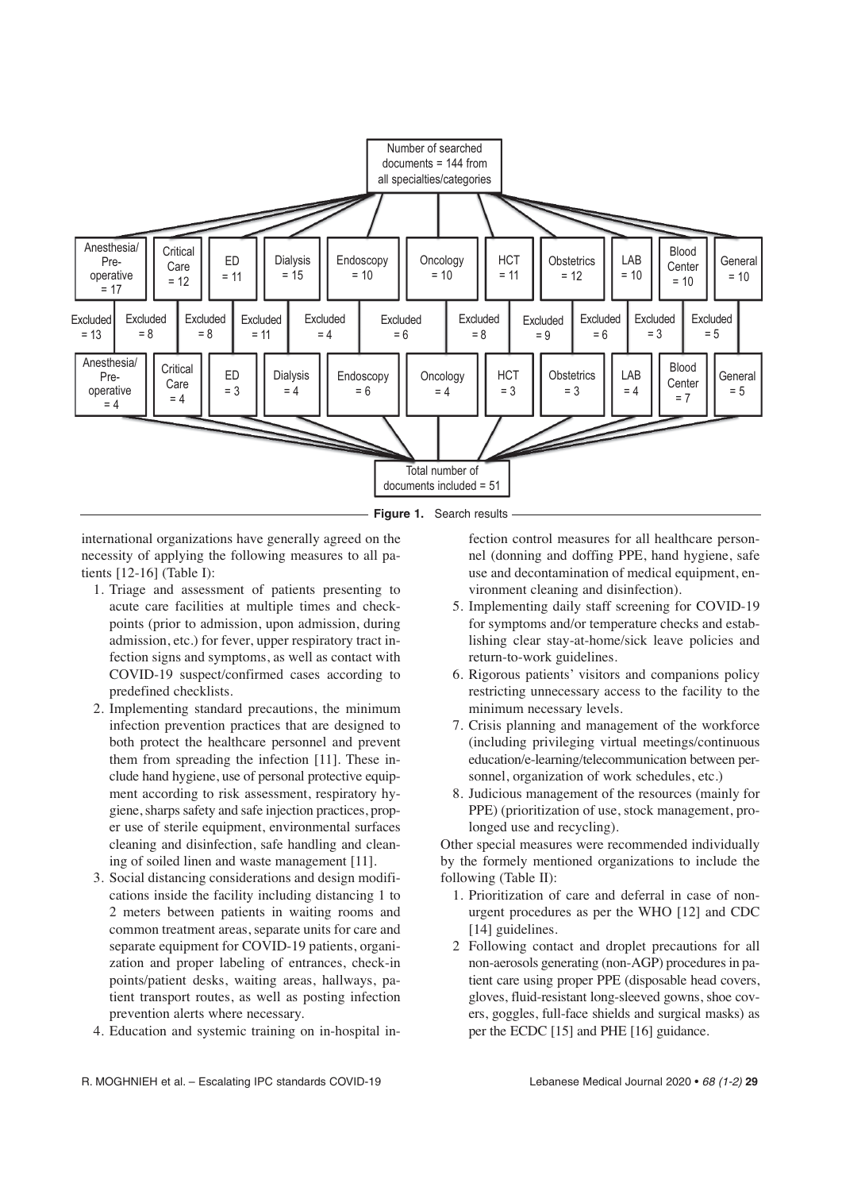

**Figure 1.** Search results

international organizations have generally agreed on the necessity of applying the following measures to all patients [12-16] (Table I):

- 1. Triage and assessment of patients presenting to acute care facilities at multiple times and checkpoints (prior to admission, upon admission, during admission, etc.) for fever, upper respiratory tract infection signs and symptoms, as well as contact with COVID-19 suspect/confirmed cases according to predefined checklists.
- 2. Implementing standard precautions, the minimum infection prevention practices that are designed to both protect the healthcare personnel and prevent them from spreading the infection [11]. These include hand hygiene, use of personal protective equipment according to risk assessment, respiratory hygiene, sharps safety and safe injection practices, proper use of sterile equipment, environmental surfaces cleaning and disinfection, safe handling and cleaning of soiled linen and waste management [11].
- 3. Social distancing considerations and design modifications inside the facility including distancing 1 to 2 meters between patients in waiting rooms and common treatment areas, separate units for care and separate equipment for COVID-19 patients, organization and proper labeling of entrances, check-in points/patient desks, waiting areas, hallways, patient transport routes, as well as posting infection prevention alerts where necessary.
- 4. Education and systemic training on in-hospital in-

fection control measures for all healthcare personnel (donning and doffing PPE, hand hygiene, safe use and decontamination of medical equipment, environment cleaning and disinfection).

- 5. Implementing daily staff screening for COVID-19 for symptoms and/or temperature checks and establishing clear stay-at-home/sick leave policies and return-to-work guidelines.
- 6. Rigorous patients' visitors and companions policy restricting unnecessary access to the facility to the minimum necessary levels.
- 7. Crisis planning and management of the workforce (including privileging virtual meetings/continuous education/e-learning/telecommunication between personnel, organization of work schedules, etc.)
- 8. Judicious management of the resources (mainly for PPE) (prioritization of use, stock management, prolonged use and recycling).

Other special measures were recommended individually by the formely mentioned organizations to include the following (Table II):

- 1. Prioritization of care and deferral in case of nonurgent procedures as per the WHO [12] and CDC [14] guidelines.
- 2 Following contact and droplet precautions for all non-aerosols generating (non-AGP) procedures in patient care using proper PPE (disposable head covers, gloves, fluid-resistant long-sleeved gowns, shoe covers, goggles, full-face shields and surgical masks) as per the ECDC [15] and PHE [16] guidance.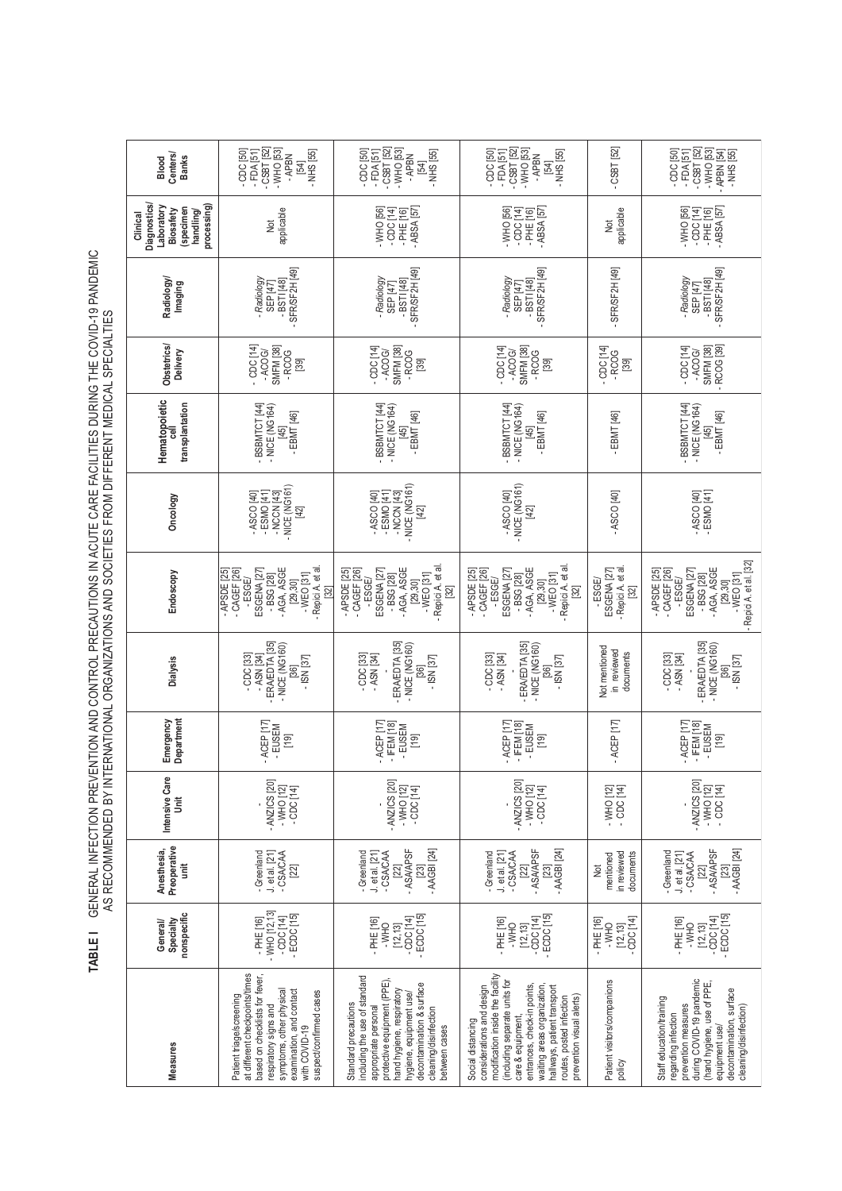TABLE I GENERAL INFECTION PREVENTION AND CONTROL PRECAUTIONS IN ACUTE CARE FACILITIES DURING THE COVID-19 PANDEMIC<br>AS RECOMMENDED BY INTERNATIONAL ORGANIZATIONS AND SOCIETIES FROM DIFFERENT MEDICAL SPECIALTIES **TABLE I** GENERAL INFECTION PREVENTION AND CONTROL PRECAUTIONS IN ACUTE CARE FACILITIES DURING THE COVID-19 PANDEMIC AS RECOMMENDED BY INTERNATIONAL ORGANIZATIONS AND SOCIETIES FROM DIFFERENT MEDICAL SPECIALTIES

| <b>Centers</b><br><b>Banks</b><br>Blood                                                           | $-$ CSBT [52]<br>$-$ WHO [53]<br>$-$ NHS [55]<br>$-CDC$ [50]<br>$-FDA[51]$<br>-APBN<br>[54]                                                                                                                               | - FDA [51]<br>- CSBT [52]<br>- WHO [53]<br>- FDA [51]<br>- CSBT [52]<br>- WHO [53]<br>$-CDC[50]$<br>$-$ NHS [55]<br>$-CDC$ [50]<br>- NHS [55]<br>- APBN<br>- APBN<br>541<br>[54]                                                           |                                                                                                                                                                                                                                                                                                                                                         | $-CSBT$ [52]                                                  | $-CSBT$ [52]<br>$-WHO$ [53]<br>$-CDC[50]$<br>- APBN [54]<br>$-FDA[51]$<br>- NHS [55]                                                                                                                     |  |
|---------------------------------------------------------------------------------------------------|---------------------------------------------------------------------------------------------------------------------------------------------------------------------------------------------------------------------------|--------------------------------------------------------------------------------------------------------------------------------------------------------------------------------------------------------------------------------------------|---------------------------------------------------------------------------------------------------------------------------------------------------------------------------------------------------------------------------------------------------------------------------------------------------------------------------------------------------------|---------------------------------------------------------------|----------------------------------------------------------------------------------------------------------------------------------------------------------------------------------------------------------|--|
| <b>Diagnostics</b><br>Laboratory<br>processing<br>(specimen<br>Biosafety<br>handling/<br>Clinical | applicable<br><b>D</b>                                                                                                                                                                                                    | $-WHO$ [56]<br>- ABSA [57]<br>$-CDC[14]$<br>$-PHE[16]$                                                                                                                                                                                     | $-$ ABSA [57]<br>$-WHO$ [56]<br>$-CDC[14]$<br>$-PHE$ [16]                                                                                                                                                                                                                                                                                               | applicable<br><b>D</b>                                        | $-$ ABSA [57]<br>$-WHO$ [56]<br>$-CDC$ [14]<br>$-PHE[16]$                                                                                                                                                |  |
| Radiology<br>Imaging                                                                              | SFR/SF2H <sub>[49]</sub><br>-Radiology<br>$-BSTI[48]$<br>SEP [47]                                                                                                                                                         | SFR/SF2H <sub>[49]</sub><br>- Radiology<br>$-BSTI[48]$<br>SEP [47]                                                                                                                                                                         | SFR/SF2H [49]<br>- Radiology<br>$-BSTI[48]$<br>SEP [47]                                                                                                                                                                                                                                                                                                 | - SFR/SF2H [49]                                               | - SFR/SF2H [49]<br>$-BSTI[48]$<br>- Radiology<br>SEP 147                                                                                                                                                 |  |
| Obstetrics/<br>Delivery                                                                           | $-$ CDC [14]<br><b>SMFM</b> [38]<br>$-ACOG$<br>$-RCOG$<br>$[39]$                                                                                                                                                          | $-CDC$ [14]<br>SMFM <sub>[38]</sub><br>$-CCDC$ [14]<br><b>SMFM</b> [38]<br>$-ACOG$<br>$-ACOG$<br>$-$ RCOG<br>$-RCOG$<br>$[39]$<br>$[39]$                                                                                                   |                                                                                                                                                                                                                                                                                                                                                         | $-CC$ [14]<br>-RCOG<br>$[39]$                                 | - RCOG [39]<br><b>SMFM</b> [38]<br>$-COC$ [14]<br>$-ACOG$                                                                                                                                                |  |
| Hematopoietic<br>transplantation<br>$\overline{3}$                                                | -BSBMTCT [44]<br>$-$ NICE (NG164)<br>$-EBMT[46]$<br>1451                                                                                                                                                                  | -BSBMTCT [44]<br>-BSBMTCT [44]<br>- NICE (NG164)<br>- NICE (NG164)<br>- EBMT [46]<br>$-EBMT[46]$<br>[45]<br>45                                                                                                                             |                                                                                                                                                                                                                                                                                                                                                         | - EBMT [46]                                                   | -BSBMTCT [44]<br>- NICE (NG164)<br>- EBMT [46]<br>45                                                                                                                                                     |  |
| Oncology                                                                                          | NICE (NG161)<br>$-ESMO[41]$<br>- NCCN [43]<br>- ASCO [40]<br>[42]                                                                                                                                                         | NICE (NG161)<br>$-$ NCCN [43]<br>$-$ ASCO [40]<br>$-ESMO[41]$<br>[42]                                                                                                                                                                      | - NICE (NG161)<br>- ASCO [40]<br>$[42]$                                                                                                                                                                                                                                                                                                                 | $-$ ASCO $[40]$                                               | - ASCO [40]<br>$-ESMO$ [41]                                                                                                                                                                              |  |
| Endoscopy                                                                                         | - AGA, ASGE<br>- Repici A. et al<br>- APSDE [25]<br>$-CAGEF$ [26]<br>ESGENA <sub>[27</sub><br>$-WEO$ [31]<br>$-BSG[28]$<br>-ESGE/<br>[29, 30]<br>$\begin{bmatrix} 32 \end{bmatrix}$                                       | Repici A. et al.<br>- AGA, ASGE<br>- APSDE [25]<br>- CAGEF [26]<br>ESGENA <sub>[27</sub><br>$-WEO$ [31]<br>$-BSG$ [28]<br>-ESGE/<br>[29,30]<br>$\overline{32}$                                                                             | Repici A. et al<br>- AGA, ASGE<br>- APSDE [25]<br>CAGEF <sub>[26]</sub><br>ESGENA <sub>[27</sub><br>$-WEO$ [31]<br>$-BSG[28]$<br>-ESGE/<br>[29, 30]<br>$[32]$                                                                                                                                                                                           | Repici A. et al<br>ESGENA <sub>[27]</sub><br>-ESGE/<br>$[32]$ | Repici A. et al. [32]<br>- AGA, ASGE<br>- APSDE [25]<br>- CAGEF [26]<br>ESGENA <sub>[27]</sub><br>-WEO [31]<br>-BSG [28]<br>-ESGE/<br>[29,30]                                                            |  |
| <b>Dialysis</b>                                                                                   | - ERA/EDTA [35]<br>- NICE (NG160)<br>$-CDC$ [33]<br>$-$ ASN [34]<br>$-$ ISN [37]<br>[36]                                                                                                                                  | - ERA/EDTA [35]<br>$-$ NICE (NG160)<br>$-CDC$ [33]<br>- ASN [34]<br>$-$ ISN [37]<br>[36]                                                                                                                                                   | ERA/EDTA [35]<br>$-$ NICE (NG160)<br>$-CDC[33]$<br>- ASN [34]<br>$-$ ISN [37]<br>361                                                                                                                                                                                                                                                                    | Not mentioned<br>in reviewed<br>documents                     | - ERA/EDTA [35]<br>$-$ NICE (NG160)<br>$-CDC$ [33]<br>- ASN [34]<br>$-$ ISN [37]<br>36                                                                                                                   |  |
| Department<br>Emergency                                                                           | $-$ ACEP [17]<br>- EUSEM<br>[19]                                                                                                                                                                                          | $-$ ACEP [17]<br>$-$ IFEM [18]<br>- EUSEM<br>$[19]$                                                                                                                                                                                        | -ACEP <sub>I17</sub><br>- IFEM [18]<br>- EUSEM<br>$[19]$                                                                                                                                                                                                                                                                                                | $-$ ACEP [17]                                                 | $-$ ACEP [17]<br>$-$ IFEM [18]<br>-EUSEM<br>$\begin{bmatrix} 19 \\ -1 \end{bmatrix}$                                                                                                                     |  |
| Intensive Care<br>š                                                                               | - ANZICS [20]<br>$-WHO[12]$<br>$-CDC[14]$                                                                                                                                                                                 | - ANZICS [20]<br>$-WHO[12]$<br>-cpc [14]                                                                                                                                                                                                   | - ANZICS [20]<br>$-WHO[12]$<br>$-CDC[14]$                                                                                                                                                                                                                                                                                                               | - WHO [12]<br>- CDC [14]                                      | - ANZICS [20]<br>$-WHO[12]$<br>$-$ CDC [14]                                                                                                                                                              |  |
| Preoperative<br>Anesthesia,<br>İ                                                                  | -Greenland<br>-CSACAA<br>$J.$ et al. $[21]$<br>[22]                                                                                                                                                                       | - ASA/APSF<br>$-$ AAGBI [24]<br>-CSACAA<br>Greenland<br>J. et al. [21]<br>[22]<br>[23]                                                                                                                                                     | $-$ AAGBI [24]<br>- ASA/APSF<br>J. et al. [21]<br>- Greenland<br>-CSACAA<br>[22]<br>[23]                                                                                                                                                                                                                                                                | in reviewed<br>documents<br>mentioned<br>Not                  | - ASA/APSF<br>$-$ AAGBI $[24]$<br>- Greenland<br>J. et al. [21]<br>- CSA/CAA<br>[22]<br>$[23]$                                                                                                           |  |
| nonspecific<br>Specialty<br>General/                                                              | - WHO [12, 13]<br>$-ECDC$ [15]<br>$-$ CDC $[14]$<br>$-$ PHE[16]                                                                                                                                                           | ECDC <sup>15</sup><br>$[12, 13]$<br>- CDC $[14]$<br>$-PHE[16]$<br>$-$ WHO                                                                                                                                                                  | $ \frac{1}{2}$ $\frac{1}{2}$ $\frac{1}{2}$ $\frac{1}{2}$ $\frac{1}{2}$ $\frac{1}{2}$ $\frac{1}{2}$ $\frac{1}{2}$ $\frac{1}{2}$ $\frac{1}{2}$ $\frac{1}{2}$ $\frac{1}{2}$ $\frac{1}{2}$ $\frac{1}{2}$ $\frac{1}{2}$ $\frac{1}{2}$ $\frac{1}{2}$ $\frac{1}{2}$ $\frac{1}{2}$ $\frac{1}{2}$ $\frac{1}{2}$ $\frac{1}{2$<br>$-PHE[16]$<br>$-WHO$<br>[12, 13] | $-CDC[14]$<br>$-PHE$ [16]<br>$-WHO$<br>[12, 13]               | $12, 13$<br>- CDC [14]<br>- ECDC [15]<br>$-PHE[16]$<br>$-WHO$                                                                                                                                            |  |
| <b>Measures</b>                                                                                   | at different checkpoints/times<br>based on checklists for fever,<br>symptoms, other physical<br>examination, and contact<br>suspect/confirmed cases<br>Patient triage/screening<br>respiratory signs and<br>with COVID-19 | including the use of standard<br>protective equipment (PPE)<br>decontamination & surface<br>hand hygiene, respiratory<br>hygiene, equipment use/<br>Standard precautions<br>appropriate personal<br>cleaning/disinfection<br>between cases | modification inside the facility<br>(including separate units for<br>considerations and design<br>entrances, check-in points<br>waiting areas organization<br>halways, patient transport<br>prevention visual alerts)<br>routes, posted infection<br>care & equipment,<br>Social distancing                                                             | Patient visitors/companions<br>policy                         | during COVID-19 pandemic<br>(hand hygiene, use of PPE,<br>decontamination, surface<br>Staff education/training<br>prevention measures<br>cleaning/disinfection)<br>regarding infection<br>equipment use/ |  |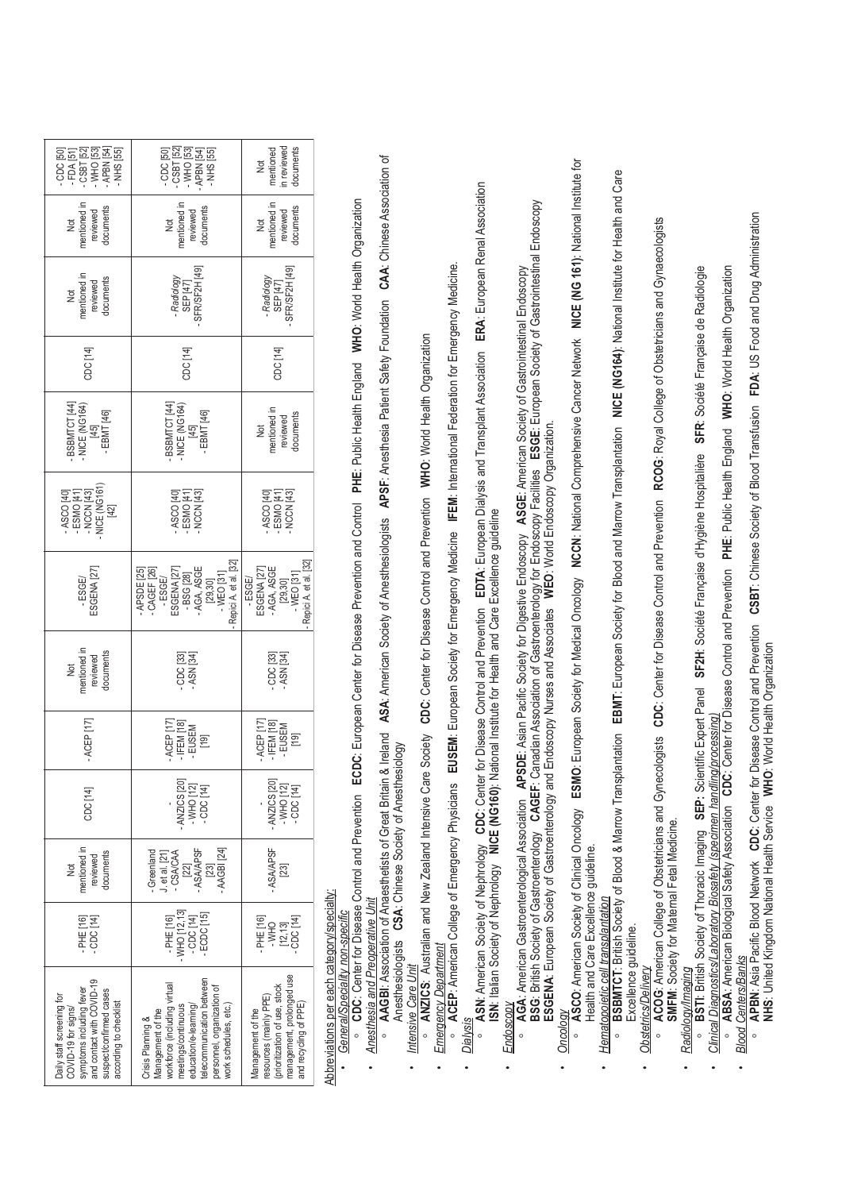| - CDC [50]<br>- FDA [51]<br>- CSBT [52]<br>- WHO [53]<br>APBN [54]<br><b>NHS</b> [55]                                                                          | - CSBT [52]<br>- WHO [53]<br>- APBN [54]<br>- NHS [55]<br>CDC [50]                                                                                                                                         | n reviewed<br>documents<br>nentioned<br>ğ                                                                                         |  |
|----------------------------------------------------------------------------------------------------------------------------------------------------------------|------------------------------------------------------------------------------------------------------------------------------------------------------------------------------------------------------------|-----------------------------------------------------------------------------------------------------------------------------------|--|
| nentioned in<br>documents<br>reviewed<br><b>D</b>                                                                                                              | nentioned in<br>documents<br>reviewed<br>ğ                                                                                                                                                                 | nentioned in<br>documents<br>reviewed<br>ğ                                                                                        |  |
| mentioned in<br>documents<br>reviewed<br>ğ                                                                                                                     | SFR/SF2H <sub>[49]</sub><br>Radiology<br>SEP [47]                                                                                                                                                          | SFR/SF2H <sub>[49]</sub><br>- Radiology<br>SEP [47]                                                                               |  |
| CDC [14]                                                                                                                                                       | CDC [14]                                                                                                                                                                                                   | CDC [14]                                                                                                                          |  |
| BSBMTCT [44]<br>NICE (NG164)<br>- EBMT [46]<br>[45]                                                                                                            | BSBMTCT [44]<br>NICE (NG164)<br>EBMT [46]<br>[45]                                                                                                                                                          | mentioned in<br>documents<br>reviewed<br><b>S</b>                                                                                 |  |
| $-$ NICE (NG161<br>$-ESMO[41]$<br>$-NCCN[43]$<br>ASCO [40]<br>$[42]$                                                                                           | - ESMO [41]<br>- NCCN [43]<br>ASCO <sub>[40]</sub>                                                                                                                                                         | - ESMO [41]<br>- NCCN [43]<br>ASCO <sub>[40]</sub>                                                                                |  |
| ESGENA <sub>[27]</sub><br>-ESGE/                                                                                                                               | Repici A. et al. [32]<br>APSDE [25]<br>AGA, ASGE<br>CAGEF [26]<br>ESGENA [27]<br>-BSG [28]<br>$-WEO$ [31]<br>-ESGE/<br>[29, 30]                                                                            | Repici A. et al. [32]<br>AGA, ASGE<br>ESGENA <sub>[27]</sub><br>$-WEO$ [31]<br>$-5565$<br>[29, 30]                                |  |
| mentioned in<br>documents<br>reviewed<br>Þ                                                                                                                     | CDC [33]<br>- ASN [34]                                                                                                                                                                                     | CDC <sub>[33]</sub><br>ASN <sub>[34]</sub>                                                                                        |  |
| $-$ ACEP [17]                                                                                                                                                  | ACEP [17]<br>$-$ IFEM [18]<br>- EUSEM<br>$^{[19]}$                                                                                                                                                         | ACEP [17]<br>$-$ IFEM [18]<br>- EUSEM<br>$\begin{array}{c} \boxed{19} \\ \boxed{1} \end{array}$                                   |  |
| CDC [14]                                                                                                                                                       | - ANZICS [20]<br>$-$ WHO [12]<br>- CDC [14]                                                                                                                                                                | - ANZICS [20]<br>- WHO [12]<br>- CDC [14]                                                                                         |  |
| mentioned in<br>documents<br>reviewed<br>ğ                                                                                                                     | -ASA/APSF<br>$-$ AAGBI [24]<br>- Greenland<br>CSA/CAA<br>$let$ al. $[21]$<br>[2]<br>[23]                                                                                                                   | -ASA/APSF<br>$^{23}$                                                                                                              |  |
| CDC[14]<br>PHE [16]                                                                                                                                            | - WHO [12, 13]<br>- CDC [14]<br>ECDC <sub>[15]</sub><br>$-PHE$ [16]                                                                                                                                        | $-PHE[16]$<br>$[12, 13]$<br>CDC $[14]$<br>$-$ WHO                                                                                 |  |
| symptoms including fever<br>and contact with COVID-19<br>suspect/confirmed cases<br>Daily staff screening for<br>according to checklist<br>COVID-19 for signs/ | telecommunication between<br>vorkforce (including virtual<br>personnel, organization of<br>work schedules, etc.)<br>education/e-learning/<br>neetings/continuous<br>lanagement of the<br>Crisis Planning & | management, prolonged use<br>prioritization of use, stock<br>resources (mainly PPE)<br>and recycling of PPE)<br>Management of the |  |

# Abbreviations per each category/specialty: Abbreviations per each category/specialty:

# General/Speciality non-specific

- CDC: Center for Disease Control and Prevention ECDC: European Center for Disease Prevention and Control PHE: Public Health England WHO: World Health Organization • General/Speciality non-specific<br>○ CDC: Center for Disease Control and Prevention ECDC: European Center for Disease Prevention and Control PHE: Public Health England WHO: World Health Organization Anesthesia and Preoperative Unit
- ASA: American Society of Anesthesiologists APSF: Anesthesia Patient Safety Foundation CAA: Chinese Association of • A<u>nesthesia and Preoperative Unit</u><br>○ AAGBI: Association of Anaesthetists of Great Britain & Ireland ASA: American Society of Anesthesiologists APSF: Anesthesia Patient Safety Foundation CAA: Chinese Association of o **AAGBI:** Association of Anaesthetists of Great Britain & Ireland Anesthesiologists **CSA**: Chinese Society of Anesthesiology Anesthesiologists CSA: Chinese Society of Anesthesiology Intensive Care Unit •
	- **ANZICS: Australian and New Zealand Intensive Care Society CDC: Center for Disease Control and Prevention WHO: World Health Organization** *Intensive Care Unit* o **ANZICS**: Australian and New Zealand Intensive Care Society **CDC**: Center for Disease Control and Prevention **WHO**: World Health Organization

## **Emergency Department** •

- *Dialysis* o **ASN**: American Society of Nephrology **CDC**: Center for Disease Control and Prevention **EDTA**: European Dialysis and Transplant Association **ERA**: European Renal Association • <u>E*mergency Department*</u><br>• ACEP: American College of Emergency Physicians **EUSEM**: European Society for Emergency Medicine **IFEM**: International Federation for Emergency Medicine. • ACEP: American College of Emergency Physicians EUSEM: European Society for Emergency Medicine IFEM: International Federation for Emergency Medicine. **Dialysis** •
- ື ASN: American Society of Nephrology CDC: Center for Disease Control and Prevention EDTA: European Dialysis and Transplant Association ERA: European Renal Association<br>ISN: Italian Society of Nephrology **NICE (NG160)**: N **ISN**: Italian Society of Nephrology **NICE (NG160)**: National Institute for Health and Care Excellence guideline

### Endoscopy •

BSG: British Society of Gastroenterology CAGEF: Canadian Association of Gastroenterology for Endoscopy Facilities ESGE: European Society of Gastrointestinal Endoscopy **BSG**: British Society of Gastroenterology **CAGEF**: Canadian Association of Gastroenterology for Endoscopy Facilities **ESGE**: European Society of Gastrointestinal Endoscopy *Endoscopy* o **AGA**: American Gastroenterological Association **APSDE**: Asian Pacific Society for Digestive Endoscopy **ASGE**: American Society of Gastrointestinal Endoscopy AGA: American Gastroenterological Association APSDE: Asian Pacific Society for Digestive Endoscopy ASGE: American Society of Gastrointestinal Endoscopy ESGENA: European Society of Gastroenterology and Endoscopy Nurses and Associates WEO: World Endoscopy Organization. **ESGENA**: European Society of Gastroenterology and Endoscopy Nurses and Associates **WEO**: World Endoscopy Organization.  $\circ$ 

### Oncology •

· ASCO: American Society of Clinical Oncology ESMO: European Society for Medical Oncology NCCN: National Comprehensive Cancer Network NICE (NG 161): National Institute for *Oncology* o **ASCO**: American Society of Clinical Oncology **ESMO**: European Society for Medical Oncology **NCCN**: National Comprehensive Cancer Network **NICE (NG 161)**: National Institute for Health and Care Excellence guideline. Health and Care Excellence guideline.

## Hematopoietic cell transplantation  $\ddot{\phantom{0}}$

**BSBMTCT:** British Society of Blood & Marrow Transplantation EBMT: European Society for Blood and Marrow Transplantation NICE (NG164): National Institute for Health and Care . *Hematopoietic cell transplantation*<br>○ BSBMTCT: Britsh Society of Blood & Marrow Transplantation EBMT: European Society for Blood and Marrow Transplantation NICE (NG164): National Institute for Health and Care Excellence quideline. Excellence guideline.  $\overline{c}$ 

# **Obstetrics/Delivery**

 $\ddot{\phantom{0}}$ 

· ACOG: American College of Obstetricians and Gynecologists CDC: Center for Disease Control and Prevention RCOG: Royal College of Obstetricians and Gynaecologists *• Obstetrics/Delivery* o **ACOG**: American College of Obstetricians and Gynecologists **CDC**: Center for Disease Control and Prevention **RCOG**: Royal College of Obstetricians and Gynaecologists **SMFM: Society for Maternal Fetal Medicine. SMFM**: Society for Maternal Fetal Medicine.

## Radiology/Imaging •

•

- **· BSTI:** British Society of Thoracic Imaging SEP: Scientific Expert Panel SF2H: Société Française d'Hygiène Hospitalière SFR: Société Française de Radiologie *Radiology/Imaging* o **BSTI**: British Society of Thoracic Imaging **SEP:** Scientific Expert Panel **SF2H**: Société Française d'Hygiène Hospitalière **SFR**: Société Française de Radiologie Clinical Diagnostics/Laboratory Biosafety (specimen handling/processing
	- o ABSA: American Biological Safety Association CDC: Center for Disease Control and Prevention PHE: Public Health England WHO: World Health Organization • *Clinical Diagnostics/Laboratory Biosafety (specimen handling/processing)*<br>◎ ABSA: American Biological Safety Association CDC: Center for Disease Control and Prevention PHE: Public Health England WHO: World Health Orga

# **Blood Centers/Banks**

•

• APBN: Asia Pacific Blood Network CDC: Center for Disease Control and Prevention CSBT: Chinese Society of Blood Transfusion FDA: US Food and Drug Administration *Blood Centers/Banks* o **APBN**: Asia Pacific Blood Network **CDC**: Center for Disease Control and Prevention **CSBT**: Chinese Society of Blood Transfusion **FDA**: US Food and Drug Administration NHS: United Kingdom National Health Service WHO: World Health Organization **NHS**: United Kingdom National Health Service **WHO**: World Health Organization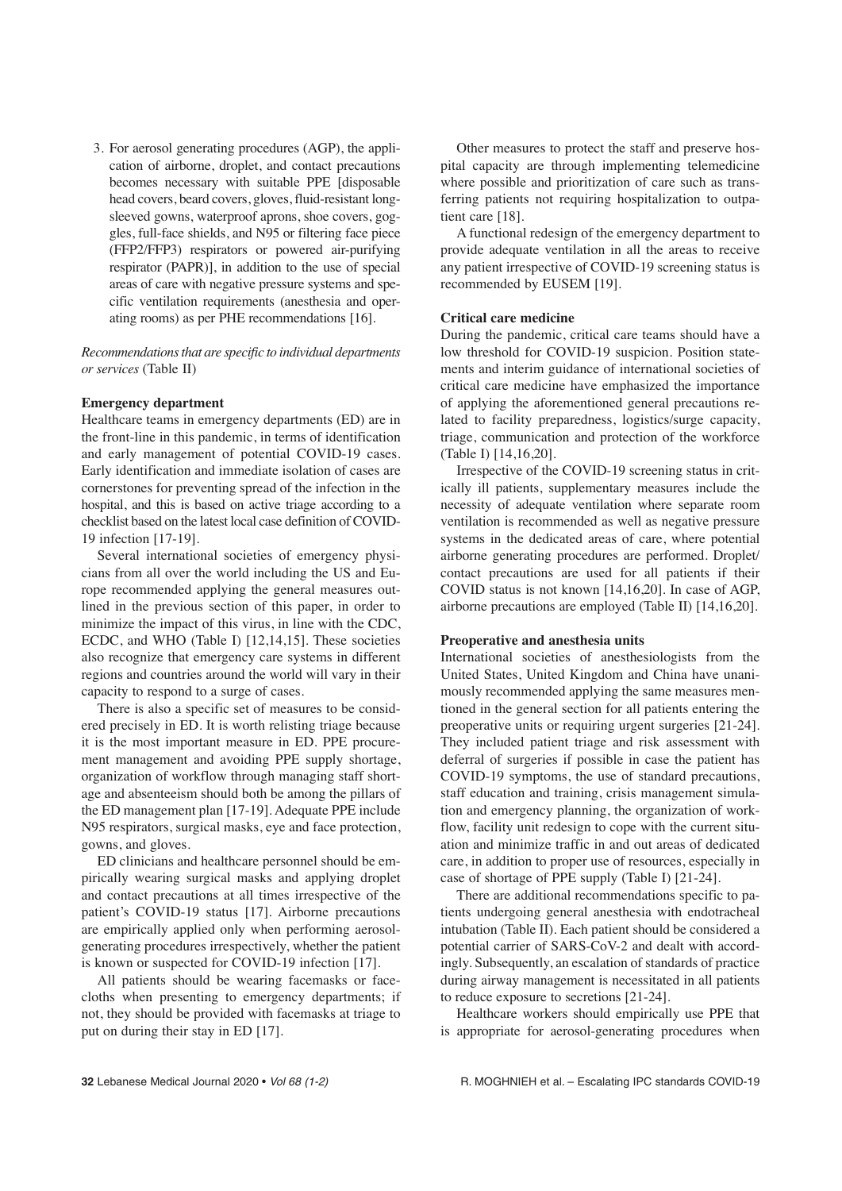3. For aerosol generating procedures (AGP), the application of airborne, droplet, and contact precautions becomes necessary with suitable PPE [disposable head covers, beard covers, gloves, fluid-resistant longsleeved gowns, waterproof aprons, shoe covers, goggles, full-face shields, and N95 or filtering face piece (FFP2/FFP3) respirators or powered air-purifying respirator (PAPR)], in addition to the use of special areas of care with negative pressure systems and specific ventilation requirements (anesthesia and operating rooms) as per PHE recommendations [16].

*Recommendations that are specific to individual departments or services* (Table II)

### **Emergency department**

Healthcare teams in emergency departments (ED) are in the front-line in this pandemic, in terms of identification and early management of potential COVID-19 cases. Early identification and immediate isolation of cases are cornerstones for preventing spread of the infection in the hospital, and this is based on active triage according to a checklist based on the latest local case definition of COVID-19 infection [17-19].

Several international societies of emergency physicians from all over the world including the US and Europe recommended applying the general measures outlined in the previous section of this paper, in order to minimize the impact of this virus, in line with the CDC, ECDC, and WHO (Table I) [12,14,15]. These societies also recognize that emergency care systems in different regions and countries around the world will vary in their capacity to respond to a surge of cases.

There is also a specific set of measures to be considered precisely in ED. It is worth relisting triage because it is the most important measure in ED. PPE procurement management and avoiding PPE supply shortage, organization of workflow through managing staff shortage and absenteeism should both be among the pillars of the ED management plan [17-19]. Adequate PPE include N95 respirators, surgical masks, eye and face protection, gowns, and gloves.

ED clinicians and healthcare personnel should be empirically wearing surgical masks and applying droplet and contact precautions at all times irrespective of the patient's COVID-19 status [17]. Airborne precautions are empirically applied only when performing aerosolgenerating procedures irrespectively, whether the patient is known or suspected for COVID-19 infection [17].

All patients should be wearing facemasks or facecloths when presenting to emergency departments; if not, they should be provided with facemasks at triage to put on during their stay in ED [17].

Other measures to protect the staff and preserve hospital capacity are through implementing telemedicine where possible and prioritization of care such as transferring patients not requiring hospitalization to outpatient care [18].

A functional redesign of the emergency department to provide adequate ventilation in all the areas to receive any patient irrespective of COVID-19 screening status is recommended by EUSEM [19].

### **Critical care medicine**

During the pandemic, critical care teams should have a low threshold for COVID-19 suspicion. Position statements and interim guidance of international societies of critical care medicine have emphasized the importance of applying the aforementioned general precautions related to facility preparedness, logistics/surge capacity, triage, communication and protection of the workforce (Table I) [14,16,20].

Irrespective of the COVID-19 screening status in critically ill patients, supplementary measures include the necessity of adequate ventilation where separate room ventilation is recommended as well as negative pressure systems in the dedicated areas of care, where potential airborne generating procedures are performed. Droplet/ contact precautions are used for all patients if their COVID status is not known [14,16,20]. In case of AGP, airborne precautions are employed (Table II) [14,16,20].

### **Preoperative and anesthesia units**

International societies of anesthesiologists from the United States, United Kingdom and China have unanimously recommended applying the same measures mentioned in the general section for all patients entering the preoperative units or requiring urgent surgeries [21-24]. They included patient triage and risk assessment with deferral of surgeries if possible in case the patient has COVID-19 symptoms, the use of standard precautions, staff education and training, crisis management simulation and emergency planning, the organization of workflow, facility unit redesign to cope with the current situation and minimize traffic in and out areas of dedicated care, in addition to proper use of resources, especially in case of shortage of PPE supply (Table I) [21-24].

There are additional recommendations specific to patients undergoing general anesthesia with endotracheal intubation (Table II). Each patient should be considered a potential carrier of SARS-CoV-2 and dealt with accordingly. Subsequently, an escalation of standards of practice during airway management is necessitated in all patients to reduce exposure to secretions [21-24].

Healthcare workers should empirically use PPE that is appropriate for aerosol-generating procedures when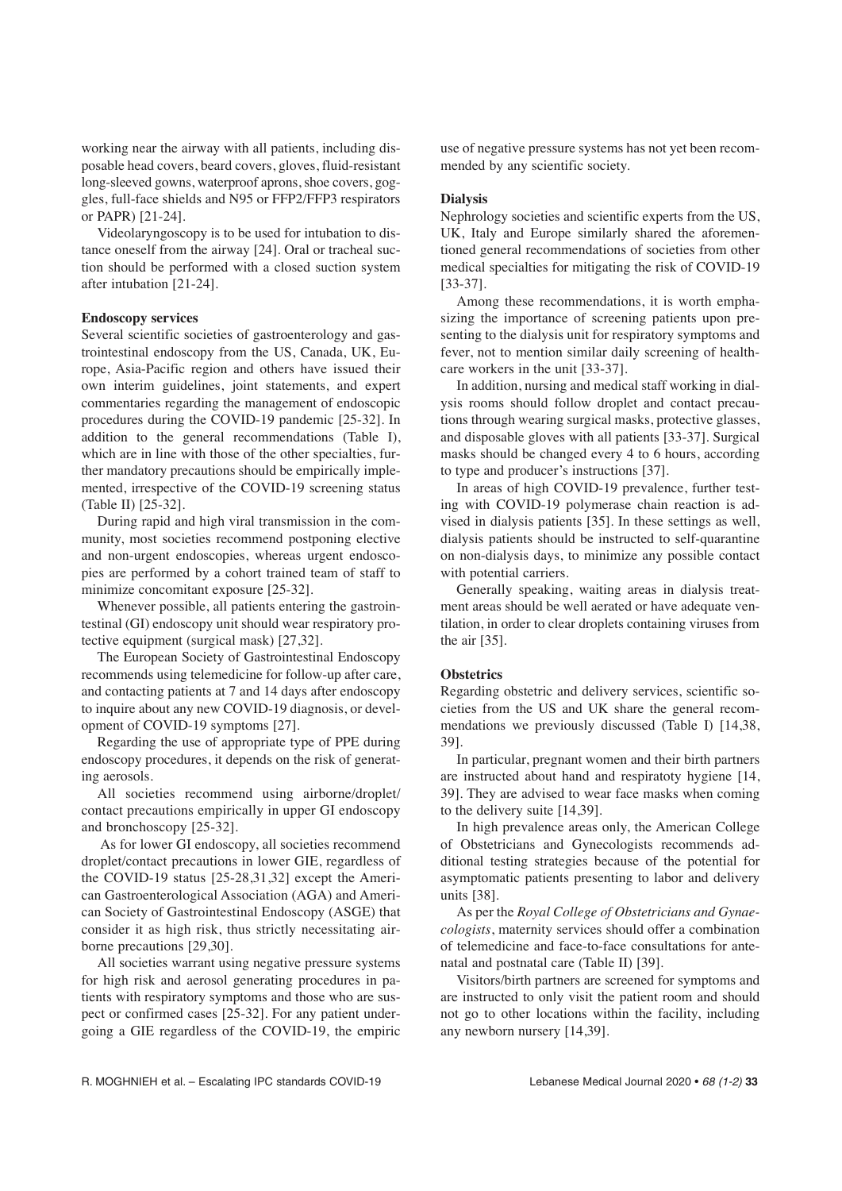working near the airway with all patients, including disposable head covers, beard covers, gloves, fluid-resistant long-sleeved gowns, waterproof aprons, shoe covers, goggles, full-face shields and N95 or FFP2/FFP3 respirators or PAPR) [21-24].

Videolaryngoscopy is to be used for intubation to distance oneself from the airway [24]. Oral or tracheal suction should be performed with a closed suction system after intubation [21-24].

### **Endoscopy services**

Several scientific societies of gastroenterology and gastrointestinal endoscopy from the US, Canada, UK, Europe, Asia-Pacific region and others have issued their own interim guidelines, joint statements, and expert commentaries regarding the management of endoscopic procedures during the COVID-19 pandemic [25-32]. In addition to the general recommendations (Table I), which are in line with those of the other specialties, further mandatory precautions should be empirically implemented, irrespective of the COVID-19 screening status (Table II) [25-32].

During rapid and high viral transmission in the community, most societies recommend postponing elective and non-urgent endoscopies, whereas urgent endoscopies are performed by a cohort trained team of staff to minimize concomitant exposure [25-32].

Whenever possible, all patients entering the gastrointestinal (GI) endoscopy unit should wear respiratory protective equipment (surgical mask) [27,32].

The European Society of Gastrointestinal Endoscopy recommends using telemedicine for follow-up after care, and contacting patients at 7 and 14 days after endoscopy to inquire about any new COVID-19 diagnosis, or development of COVID-19 symptoms [27].

Regarding the use of appropriate type of PPE during endoscopy procedures, it depends on the risk of generating aerosols.

All societies recommend using airborne/droplet/ contact precautions empirically in upper GI endoscopy and bronchoscopy [25-32].

As for lower GI endoscopy, all societies recommend droplet/contact precautions in lower GIE, regardless of the COVID-19 status [25-28,31,32] except the American Gastroenterological Association (AGA) and American Society of Gastrointestinal Endoscopy (ASGE) that consider it as high risk, thus strictly necessitating airborne precautions [29,30].

All societies warrant using negative pressure systems for high risk and aerosol generating procedures in patients with respiratory symptoms and those who are suspect or confirmed cases [25-32]. For any patient undergoing a GIE regardless of the COVID-19, the empiric

use of negative pressure systems has not yet been recommended by any scientific society.

### **Dialysis**

Nephrology societies and scientific experts from the US, UK, Italy and Europe similarly shared the aforementioned general recommendations of societies from other medical specialties for mitigating the risk of COVID-19 [33-37].

Among these recommendations, it is worth emphasizing the importance of screening patients upon presenting to the dialysis unit for respiratory symptoms and fever, not to mention similar daily screening of healthcare workers in the unit [33-37].

In addition, nursing and medical staff working in dialysis rooms should follow droplet and contact precautions through wearing surgical masks, protective glasses, and disposable gloves with all patients [33-37]. Surgical masks should be changed every 4 to 6 hours, according to type and producer's instructions [37].

In areas of high COVID-19 prevalence, further testing with COVID-19 polymerase chain reaction is advised in dialysis patients [35]. In these settings as well, dialysis patients should be instructed to self-quarantine on non-dialysis days, to minimize any possible contact with potential carriers.

Generally speaking, waiting areas in dialysis treatment areas should be well aerated or have adequate ventilation, in order to clear droplets containing viruses from the air [35].

### **Obstetrics**

Regarding obstetric and delivery services, scientific societies from the US and UK share the general recommendations we previously discussed (Table I) [14,38, 39].

In particular, pregnant women and their birth partners are instructed about hand and respiratoty hygiene [14, 39]. They are advised to wear face masks when coming to the delivery suite [14,39].

In high prevalence areas only, the American College of Obstetricians and Gynecologists recommends additional testing strategies because of the potential for asymptomatic patients presenting to labor and delivery units [38].

As per the *Royal College of Obstetricians and Gynaecologists*, maternity services should offer a combination of telemedicine and face-to-face consultations for antenatal and postnatal care (Table II) [39].

Visitors/birth partners are screened for symptoms and are instructed to only visit the patient room and should not go to other locations within the facility, including any newborn nursery [14,39].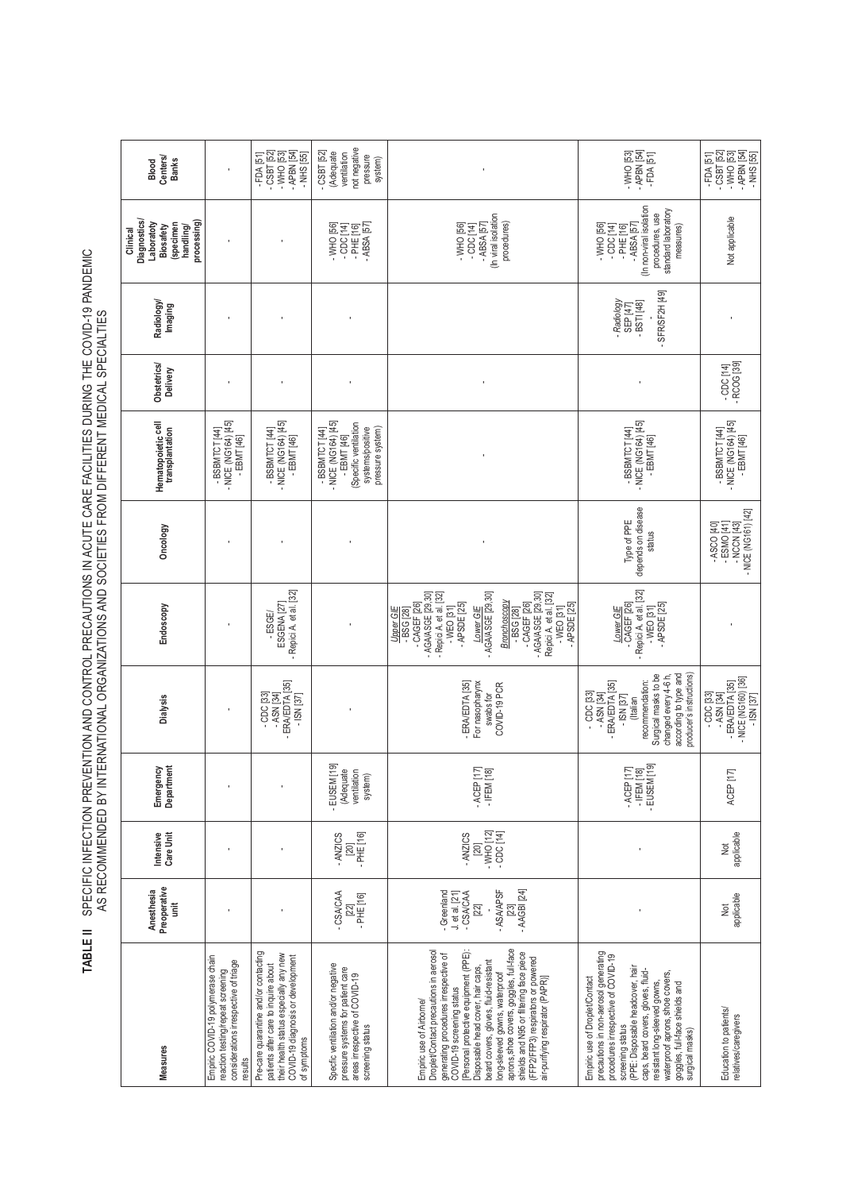TABLE II SPECIFIC INFECTION PREVENTION AND CONTROL PRECAUTIONS IN ACUTE CARE FACILITIES DURING THE COVID-19 PANDEMIC<br>AS RECOMMENDED BY INTERNATIONAL ORGANIZATIONS AND SOCIETIES FROM DIFFERENT MEDICAL SPECIALTIES **TABLE II** SPECIFIC INFECTION PREVENTION AND CONTROL PRECAUTIONS IN ACUTE CARE FACILITIES DURING THE COVID-19 PANDEMIC AS RECOMMENDED BY INTERNATIONAL ORGANIZATIONS AND SOCIETIES FROM DIFFERENT MEDICAL SPECIALTIES

| Centers/<br><b>Banks</b><br>Blood                                                           |                                                                                                                            | - APBN [54]<br>$-CSBT$ [52]<br>$-WHO$ [53]<br>$-FDA[51]$<br>$-$ NHS [55]                                                                                                    | not negative<br>$-CSBT$ [52]<br>(Adequate<br>ventilation<br>pressure<br>system)                                                |                                                                                                                                                                                                                                                                                                                                                                                                                                                                 | - APBN [54]<br>$-WHO$ [53]<br>$-FDA[51]$                                                                                                                                                                                                                                                                                              | - APBN [54]<br>$-CSBT$ [52]<br>$-WHO$ [53]<br>$-$ NHS [55]<br>$-FDA[51]$                           |
|---------------------------------------------------------------------------------------------|----------------------------------------------------------------------------------------------------------------------------|-----------------------------------------------------------------------------------------------------------------------------------------------------------------------------|--------------------------------------------------------------------------------------------------------------------------------|-----------------------------------------------------------------------------------------------------------------------------------------------------------------------------------------------------------------------------------------------------------------------------------------------------------------------------------------------------------------------------------------------------------------------------------------------------------------|---------------------------------------------------------------------------------------------------------------------------------------------------------------------------------------------------------------------------------------------------------------------------------------------------------------------------------------|----------------------------------------------------------------------------------------------------|
| Diagnostics/<br>processing<br>Laboratoty<br>(specimen<br>Biosafety<br>handling/<br>Clinical |                                                                                                                            |                                                                                                                                                                             | $-$ ABSA [57]<br>-WHO [56]<br>$-$ CDC $[14]$<br>$-PHE[16]$                                                                     | (In viral isolation<br>procedures)<br>$-$ ABSA [57]<br>$-WHO$ [56]<br>$-CDC$ [14]                                                                                                                                                                                                                                                                                                                                                                               | (In non-viral isolation<br>standard laboratory<br>procedures, use<br>$-WHO$ [56]<br>$-RSSA$ [57]<br>$-CDC[14]$<br>measures)<br>$-$ PHE [16]                                                                                                                                                                                           | Not applicable                                                                                     |
| Radiology/<br>Imaging                                                                       |                                                                                                                            |                                                                                                                                                                             |                                                                                                                                |                                                                                                                                                                                                                                                                                                                                                                                                                                                                 | - SFR/SF2H [49]<br>- Radiology<br>$-BST[48]$<br>SEP [47]                                                                                                                                                                                                                                                                              |                                                                                                    |
| Obstetrics/<br>Delivery                                                                     |                                                                                                                            |                                                                                                                                                                             |                                                                                                                                |                                                                                                                                                                                                                                                                                                                                                                                                                                                                 |                                                                                                                                                                                                                                                                                                                                       | - RCOG [39]<br>$-CDC$ [14]                                                                         |
| Hematopoietic cell<br>transplantation                                                       | - NICE (NG164) [45]<br>-BSBMTCT [44]<br>$-EBMT[46]$                                                                        | - NICE (NG164) [45]<br>- EBMT [46]<br>-BSBMTCT [44]                                                                                                                         | - NICE (NG164) [45]<br>(Specific ventilation<br>systems/positive<br>pressure system)<br>-BSBMTCT [44]<br>$-EBMT[46]$           |                                                                                                                                                                                                                                                                                                                                                                                                                                                                 | - NICE (NG164) [45]<br>-BSBMTCT [44]<br>- EBMT [46]                                                                                                                                                                                                                                                                                   | - NICE (NG164) [45]<br>- EBMT [46]<br>-BSBMTCT [44]                                                |
| Oncology                                                                                    |                                                                                                                            |                                                                                                                                                                             |                                                                                                                                |                                                                                                                                                                                                                                                                                                                                                                                                                                                                 | depends on disease<br>Type of PPE<br>status                                                                                                                                                                                                                                                                                           | - NICE (NG161) [42]<br>$-$ ASCO [40]<br>- ESMO [41]<br>- NCCN [43]                                 |
| Endoscopy                                                                                   |                                                                                                                            | - Repici A. et al. [32]<br>ESGENA <sub>[27]</sub><br>-ESGE/                                                                                                                 |                                                                                                                                | - AGA/ASGE [29,30]<br>- AGA/ASGE [29,30]<br>- AGA/ASGE [29,30]<br>- Repici A. et al. [32]<br>Repici A. et al. [32]<br>Bronchoscopy<br>$-CAGEF$ [ $26$ ]<br>$-CAGEF$ [26]<br>- APSDE [25]<br>- APSDE [25]<br>Lower GIE<br>$-WEO$ [31]<br>$-WEO$ [31]<br>Upper GIE<br>$-$ BSG [28]<br>$-B$ SG $[28]$                                                                                                                                                              | - Repici A. et al. [32]<br>$-CAGEF$ [26]<br>- APSDE [25]<br>$-WEO$ [31]<br>Lower GIE                                                                                                                                                                                                                                                  |                                                                                                    |
| Dialysis                                                                                    |                                                                                                                            | - ERA/EDTA [35]<br>$-CDC$ [33]<br>$-$ ASN [34]<br>$-$ ISN [37]                                                                                                              |                                                                                                                                | For nasopharynx<br>- ERA/EDTA [35]<br>COVID-19 PCR<br>swabs for                                                                                                                                                                                                                                                                                                                                                                                                 | Surgical masks to be<br>changed every 4-6 h,<br>according to type and<br>producer's instructions)<br>recommendation:<br>- ERA/EDTA [35]<br>$-CDC$ [33]<br>- ASN [34]<br>$-$ ISN [37]<br>(Italian                                                                                                                                      | - NICE (NG160) [36]<br>- ERA/EDTA <sup>[35]</sup><br>$-CDC$ $[33]$<br>$-$ ASN [34]<br>$-$ ISN [37] |
| Emergency<br>Department                                                                     |                                                                                                                            |                                                                                                                                                                             | $\overline{19}$<br>(Adequate<br>ventilation<br>system)<br>EUSEM <sup>[</sup>                                                   | $-ACEP[17]$<br>$-$ IFEM [18]                                                                                                                                                                                                                                                                                                                                                                                                                                    | - EUSEM [19]<br>$-$ ACEP [17]<br>$-$ IFEM [18]                                                                                                                                                                                                                                                                                        | ACEP <sub>[17</sub>                                                                                |
| Intensive<br>Care Unit                                                                      |                                                                                                                            |                                                                                                                                                                             | $-$ PHE [16]<br>- ANZICS<br>[20]                                                                                               | $-WHO$ [12]<br>- CDC [14]<br>- ANZICS<br>$[20]$                                                                                                                                                                                                                                                                                                                                                                                                                 |                                                                                                                                                                                                                                                                                                                                       | applicable<br>ğ                                                                                    |
| Preoperative<br>Anesthesia<br>İ                                                             |                                                                                                                            |                                                                                                                                                                             | -CSACAA<br>$-PHE[16]$<br>[22]                                                                                                  | - ASA/APSF<br>$-$ AAGBI $[24]$<br>- Greenland<br>-CSACAA<br>J. et al. [21]<br>$[22]$<br>[23]                                                                                                                                                                                                                                                                                                                                                                    |                                                                                                                                                                                                                                                                                                                                       | applicable<br>ğ                                                                                    |
| Measures                                                                                    | Empiric COVID-19 polymerase chain<br>considerations irrespective of triage<br>reaction testing/repeat screening<br>results | Pre-care quarantine and/or contacting<br>their health status especially any new<br>COVID-19 diagnosis or development<br>patients after care to inquire about<br>of symptoms | Specfic ventilation and/or negative<br>pressure systems for patient care<br>areas irrespective of COVID-19<br>screening status | aprons, shoe covers, goggles, full-face<br>Droplet/Contact precautions in aerosol<br>shields and N95 or filtering face piece<br>[Personal protective equipment (PPE)<br>generating procedures irrespective of<br>COVID-19 screening status<br>(FFP2/FFP3) respirators or powered<br>beard covers, gloves, fluid-resistant<br>Disposable head cover, hair caps,<br>long-sleeved gowns, waterproof<br>air-purifying respirator (PAPR)]<br>Empiric use of Airbome/ | precautions in non-aerosol generating<br>procedures irrespective of COVID-19<br>(PPE: Disposable headcover, hair<br>caps, beard covers, gloves, fluid-<br>waterproof aprons, shoe covers,<br>Empiric use of Droplet/Contact<br>resistant long-sleeved gowns,<br>goggles, full-face shields and<br>surgical masks)<br>screening status | Education to patients/<br>relatives/caregivers                                                     |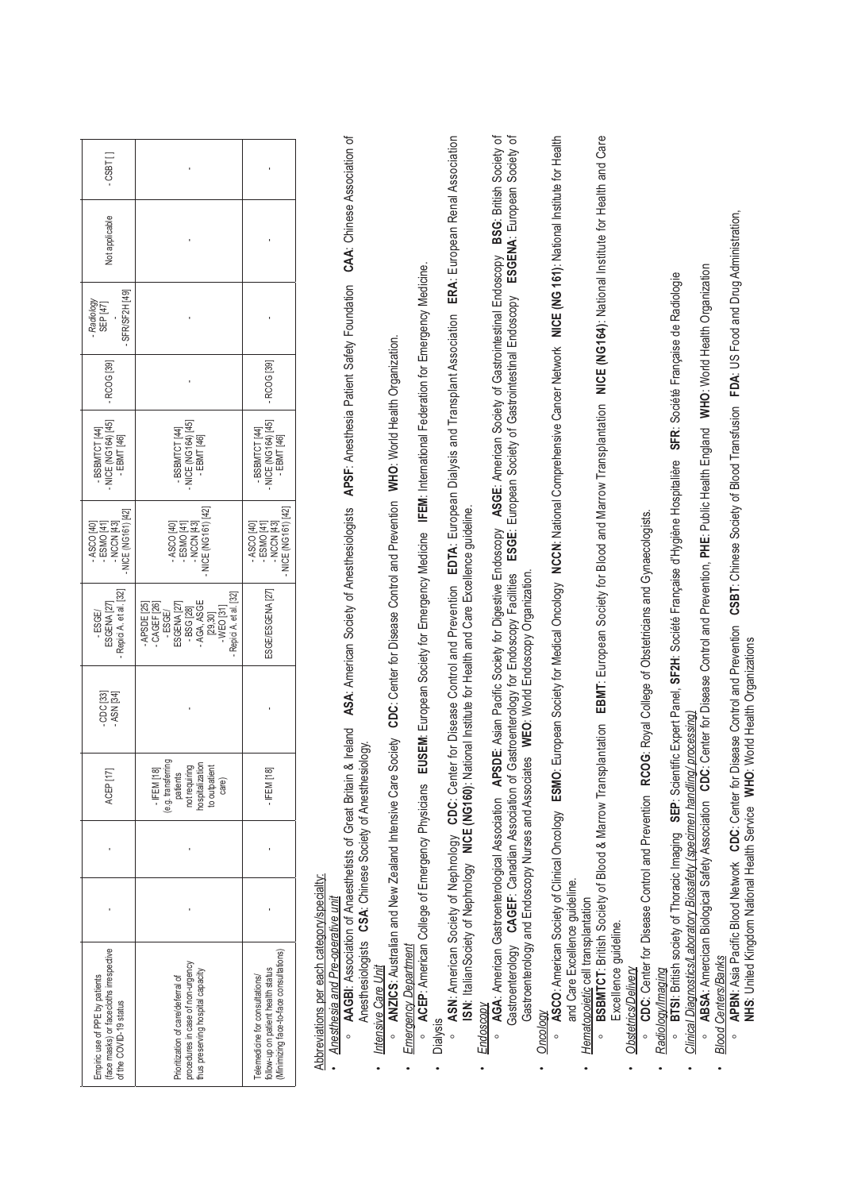| $-03B1$                                                                                            |                                                                                                                                                |                                                                                                                 |  |
|----------------------------------------------------------------------------------------------------|------------------------------------------------------------------------------------------------------------------------------------------------|-----------------------------------------------------------------------------------------------------------------|--|
| Not applicable                                                                                     |                                                                                                                                                |                                                                                                                 |  |
| SFR/SF2H [49]<br>- Radiology<br>SEP [47]                                                           |                                                                                                                                                |                                                                                                                 |  |
| RCOG <sub>[39]</sub>                                                                               |                                                                                                                                                | RCOG <sub>[39]</sub>                                                                                            |  |
| - BSBMTCT [44]<br>- NICE (NG164) [45]<br>$-EBMT[46]$                                               | - BSBMTCT [44]<br>- NICE (NG164) [45]<br>- EBMT [46]                                                                                           | - BSBMTCT [44]<br>- NICE (NG164) [45]<br>- EBMT [46]                                                            |  |
| $-$ NICE (NG161) [42]<br>- ASCO [40]<br> - ESMO [41]<br> - NCCN -                                  | - NICE (NG161) [42]<br>$-$ ESMO [41]<br>$-$ NCCN [43]<br>$-$ ASCO $[40]$                                                                       | - NICE (NG161) [42]<br>$-$ ESMO [41]<br>$-$ NCCN [43]<br>- ASCO [40]                                            |  |
| - Repici A. et al. [32]<br>ESGENA <sub>[27]</sub><br>-ESGE/                                        | - Repici A. et al. [32]<br>CAGEF [26]<br>- BSG [28]<br>- AGA, ASGE<br>APSDE [25]<br>ESGENA <sub>[27</sub><br>$-WEO$ [31]<br>-ESGE/<br>[29, 30] | ESGE/ESGENA [27]                                                                                                |  |
| CDC [33]<br>$-$ ASN [34]                                                                           |                                                                                                                                                |                                                                                                                 |  |
| ACEP [17]                                                                                          | (e.g. transferring<br>not requiring<br>hospitalization<br>to outpatient<br>$-$ IFEM [18]<br>patients<br>care)                                  | FEM <sub>[18]</sub>                                                                                             |  |
|                                                                                                    |                                                                                                                                                |                                                                                                                 |  |
|                                                                                                    |                                                                                                                                                |                                                                                                                 |  |
| face masks) or facecloths irrespective<br>Empiric use of PPE by patients<br>of the COVID-19 status | procedures in case of non-urgency<br>hus preserving hospital capacity<br>Prioritization of care/deferral of                                    | Minimizing face-to-face consultations)<br>follow-up on patient health status<br>Telemedicine for consultations/ |  |

# Abbreviations per each category/specialty: Abbreviations per each category/specialty:

## · Anesthesia and Pre-operative unit *Anesthesia and Pre-operative unit*

**AAGBI:** Association of Anaesthetists of Great Britain & Ireland ASA: American Society of Anesthesiologists APSF: Anesthesia Patient Safety Foundation CAA: Chinese Association of **AAGBI**: Association of Anaesthetists of Great Britain & Ireland **ASA**: American Society of Anesthesiologists **APSF**: Anesthesia Patient Safety Foundation **CAA**: Chinese Association of Anesthesiologists **CSA**: Chinese Society of Anesthesiology. Anesthesiologists CSA: Chinese Society of Anesthesiology.

### *Intensive Care Unit* Intensive Care Unit •

· **ANZICS: Australian and New Zealand Intensive Care Society CDC: Center for Disease Control and Prevention NVHO: World Health Organization. ANZICS**: Australian and New Zealand Intensive Care Society **CDC**: Center for Disease Control and Prevention **WHO**: World Health Organization.

### Emergency Department *Emergency Department* •

o ACEP: American College of Emergency Physicians EUSEM: European Society for Emergency Medicine IFEM: International Federation for Emergency Medicine. **ACEP**: American College of Emergency Physicians **EUSEM**: European Society for Emergency Medicine **IFEM**: International Federation for Emergency Medicine. • Dialysis

<sup>o</sup> ASN: American Society of Nephrology CDC: Center for Disease Control and Prevention EDTA: European Dialysis and Transplant Association ERA: European Renal Association<br>ISN: ItalianSociety of Nephrology NICE (NG160): Nati **ASN**: American Society of Nephrology **CDC**: Center for Disease Control and Prevention **EDTA**: European Dialysis and Transplant Association **ERA**: European Renal Association **ISN**: ItalianSociety of Nephrology **NICE (NG160)**: National Institute for Health and Care Excellence guideline.

### Endoscopy *Endoscopy* •

**AGA:** American Gastroenterological Association APSDE: Asian Pacific Society for Digestive Endoscopy ASGE: American Society of Gastrointestinal Endoscopy BSG: British Society of **AGA**: American Gastroenterological Association **APSDE**: Asian Pacific Society for Digestive Endoscopy **ASGE**: American Society of Gastrointestinal Endoscopy **BSG**: British Society of Castroenterology CAGEF: Canadian Association of Gastroenterology for Endoscopy Facilities ESGE: European Society of Gastrointestinal Endoscopy ESGEIM: European Society of Gastroenterology **CAGEF**: Canadian Association of Gastroenterology for Endoscopy Facilities **ESGE**: European Society of Gastrointestinal Endoscopy **ESGENA**: European Society of Gastroenterology and Endoscopy Nurses and Associates WEO: World Endoscopy Organization. Gastroenterology and Endoscopy Nurses and Associates **WEO**: World Endoscopy Organization.

### Oncology *Oncology* •

**ASCO:** American Society of Clinical Oncology ESMO: European Society for Medical Oncology NCCN: National Comprehensive Cancer Network NICE (NG 161): National Institute for Health **ASCO**: American Society of Clinical Oncology **ESMO**: European Society for Medical Oncology **NCCN**: National Comprehensive Cancer Network **NICE (NG 161)**: National Institute for Health and Care Excellence guideline. and Care Excellence guideline.

## Hematopoietic cell transplantation *Hematopoietic* cell transplantation

•

· BSBMTCT: British Society of Blood & Marrow Transplantation EBMT: European Society for Blood and Marrow Transplantation NICE (NG164): National Institute for Health and Care **BSBMTCT**: British Society of Blood & Marrow Transplantation **EBMT**: European Society for Blood and Marrow Transplantation **NICE (NG164)**: National Institute for Health and Care Excellence guideline. Excellence guideline.

## **Obstetrics/Delivery** *Obstetrics/Delivery*

•

o CDC: Center for Disease Control and Prevention RCOG: Royal College of Obstetricians and Gynaecologists. **CDC**: Center for Disease Control and Prevention **RCOG**: Royal College of Obstetricians and Gynaecologists.

### Radiology/Imaging *Radiology/Imaging* •

**BTSI:** British society of Thoracic Imaging SEP: Scientific Expert Panel, SF2H: Société Française d'Hygiène Hospitalière SFR: Société Française de Radiologie **BTSI**: British society of Thoracic Imaging **SEP**: Scientific Expert Panel, **SF2H**: Société Française d'Hygiène Hospitalière **SFR**: Société Française de Radiologie

# *Clinical Diagnostics/Laboratory Biosafety (specimen handling/ processing)* Clinical Diagnostics/Laboratory Biosafety (specimen handling/ processi

•

•

**ABSA:** Amercican Biological Safety Association CDC: Center for Disease Control and Prevention, PHE: Public Health England WHO: World Health Organization **ABSA**: Amercican Biological Safety Association **CDC**: Center for Disease Control and Prevention, **PHE**: Public Health England **WHO**: World Health Organization *Blood Centers/Banks* Blood Centers/Banks

# **APBN**: Asia Pacific Blood Network **CDC**: Center for Disease Control and Prevention **CSBT**: Chinese Society of Blood Transfusion **FDA**: US Food and Drug Administration, **APBN:** Asia Pacific Blood Network CDC: Center for Disease Control and Prevention CSBT: Chinese Society of Blood Transfusion FDA: US Food and Drug Administration, NHS: United Kingdom National Health Service WHO: World Health Organizations **NHS**: United Kingdom National Health Service **WHO**: World Health Organizations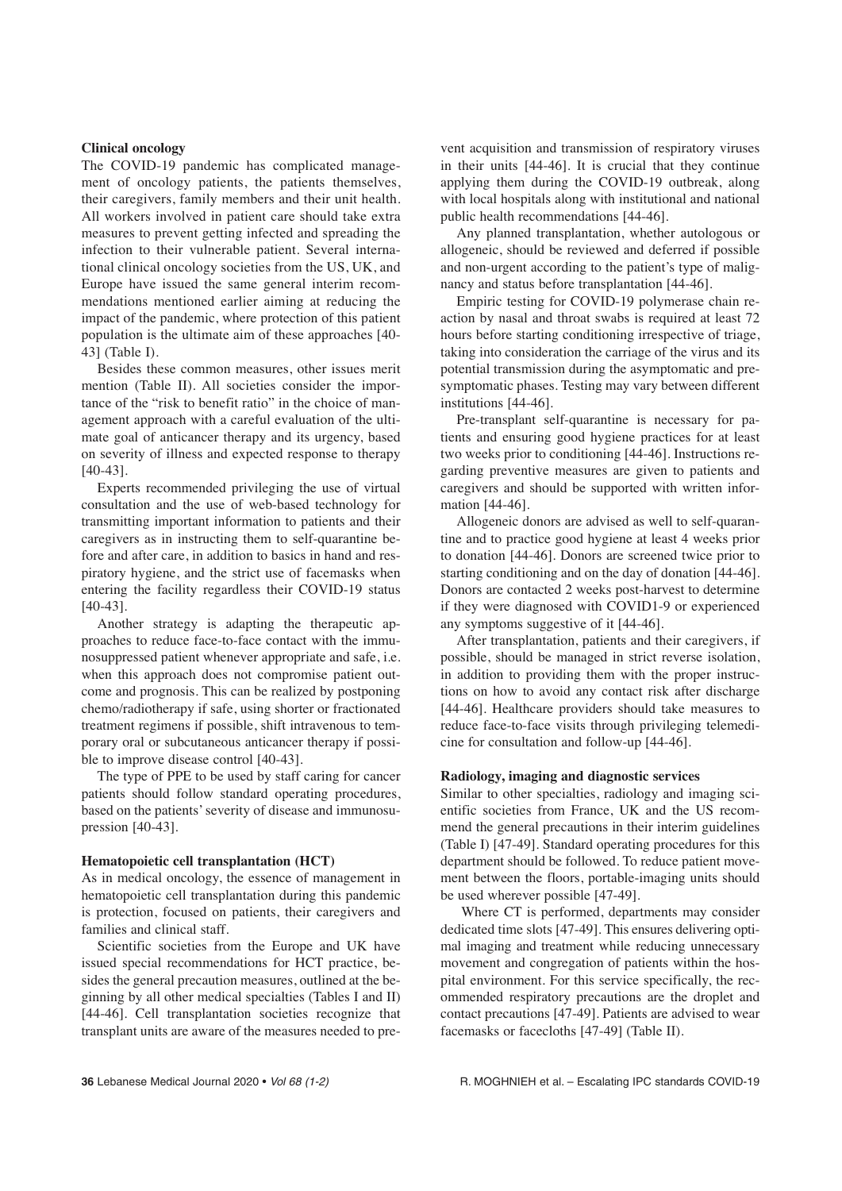### **Clinical oncology**

The COVID-19 pandemic has complicated management of oncology patients, the patients themselves, their caregivers, family members and their unit health. All workers involved in patient care should take extra measures to prevent getting infected and spreading the infection to their vulnerable patient. Several international clinical oncology societies from the US, UK, and Europe have issued the same general interim recommendations mentioned earlier aiming at reducing the impact of the pandemic, where protection of this patient population is the ultimate aim of these approaches [40- 43] (Table I).

Besides these common measures, other issues merit mention (Table II). All societies consider the importance of the "risk to benefit ratio" in the choice of management approach with a careful evaluation of the ultimate goal of anticancer therapy and its urgency, based on severity of illness and expected response to therapy [40-43].

Experts recommended privileging the use of virtual consultation and the use of web-based technology for transmitting important information to patients and their caregivers as in instructing them to self-quarantine before and after care, in addition to basics in hand and respiratory hygiene, and the strict use of facemasks when entering the facility regardless their COVID-19 status [40-43].

Another strategy is adapting the therapeutic approaches to reduce face-to-face contact with the immunosuppressed patient whenever appropriate and safe, i.e. when this approach does not compromise patient outcome and prognosis. This can be realized by postponing chemo/radiotherapy if safe, using shorter or fractionated treatment regimens if possible, shift intravenous to temporary oral or subcutaneous anticancer therapy if possible to improve disease control [40-43].

The type of PPE to be used by staff caring for cancer patients should follow standard operating procedures, based on the patients' severity of disease and immunosupression [40-43].

#### **Hematopoietic cell transplantation (HCT)**

As in medical oncology, the essence of management in hematopoietic cell transplantation during this pandemic is protection, focused on patients, their caregivers and families and clinical staff.

Scientific societies from the Europe and UK have issued special recommendations for HCT practice, besides the general precaution measures, outlined at the beginning by all other medical specialties (Tables I and II) [44-46]. Cell transplantation societies recognize that transplant units are aware of the measures needed to prevent acquisition and transmission of respiratory viruses in their units [44-46]. It is crucial that they continue applying them during the COVID-19 outbreak, along with local hospitals along with institutional and national public health recommendations [44-46].

Any planned transplantation, whether autologous or allogeneic, should be reviewed and deferred if possible and non-urgent according to the patient's type of malignancy and status before transplantation [44-46].

Empiric testing for COVID-19 polymerase chain reaction by nasal and throat swabs is required at least 72 hours before starting conditioning irrespective of triage, taking into consideration the carriage of the virus and its potential transmission during the asymptomatic and presymptomatic phases. Testing may vary between different institutions [44-46].

Pre-transplant self-quarantine is necessary for patients and ensuring good hygiene practices for at least two weeks prior to conditioning [44-46]. Instructions regarding preventive measures are given to patients and caregivers and should be supported with written information [44-46].

Allogeneic donors are advised as well to self-quarantine and to practice good hygiene at least 4 weeks prior to donation [44-46]. Donors are screened twice prior to starting conditioning and on the day of donation [44-46]. Donors are contacted 2 weeks post-harvest to determine if they were diagnosed with COVID1-9 or experienced any symptoms suggestive of it [44-46].

After transplantation, patients and their caregivers, if possible, should be managed in strict reverse isolation, in addition to providing them with the proper instructions on how to avoid any contact risk after discharge [44-46]. Healthcare providers should take measures to reduce face-to-face visits through privileging telemedicine for consultation and follow-up [44-46].

#### **Radiology, imaging and diagnostic services**

Similar to other specialties, radiology and imaging scientific societies from France, UK and the US recommend the general precautions in their interim guidelines (Table I) [47-49]. Standard operating procedures for this department should be followed. To reduce patient movement between the floors, portable-imaging units should be used wherever possible [47-49].

Where CT is performed, departments may consider dedicated time slots [47-49]. This ensures delivering optimal imaging and treatment while reducing unnecessary movement and congregation of patients within the hospital environment. For this service specifically, the recommended respiratory precautions are the droplet and contact precautions [47-49]. Patients are advised to wear facemasks or facecloths [47-49] (Table II).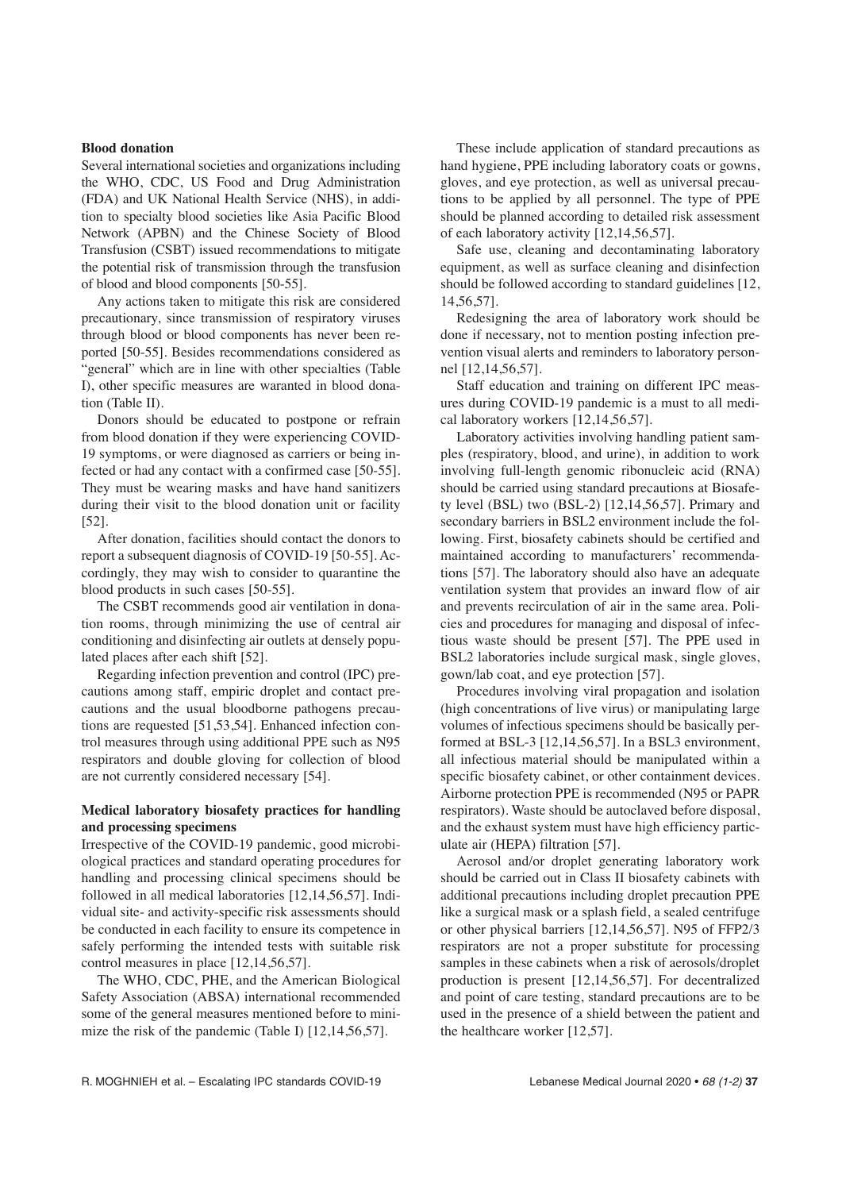### **Blood donation**

Several international societies and organizations including the WHO, CDC, US Food and Drug Administration (FDA) and UK National Health Service (NHS), in addition to specialty blood societies like Asia Pacific Blood Network (APBN) and the Chinese Society of Blood Transfusion (CSBT) issued recommendations to mitigate the potential risk of transmission through the transfusion of blood and blood components [50-55].

Any actions taken to mitigate this risk are considered precautionary, since transmission of respiratory viruses through blood or blood components has never been reported [50-55]. Besides recommendations considered as "general" which are in line with other specialties (Table I), other specific measures are waranted in blood donation (Table II).

Donors should be educated to postpone or refrain from blood donation if they were experiencing COVID-19 symptoms, or were diagnosed as carriers or being infected or had any contact with a confirmed case [50-55]. They must be wearing masks and have hand sanitizers during their visit to the blood donation unit or facility [52].

After donation, facilities should contact the donors to report a subsequent diagnosis of COVID-19 [50-55]. Accordingly, they may wish to consider to quarantine the blood products in such cases [50-55].

The CSBT recommends good air ventilation in donation rooms, through minimizing the use of central air conditioning and disinfecting air outlets at densely populated places after each shift [52].

Regarding infection prevention and control (IPC) precautions among staff, empiric droplet and contact precautions and the usual bloodborne pathogens precautions are requested [51,53,54]. Enhanced infection control measures through using additional PPE such as N95 respirators and double gloving for collection of blood are not currently considered necessary [54].

### **Medical laboratory biosafety practices for handling and processing specimens**

Irrespective of the COVID-19 pandemic, good microbiological practices and standard operating procedures for handling and processing clinical specimens should be followed in all medical laboratories [12,14,56,57]. Individual site- and activity-specific risk assessments should be conducted in each facility to ensure its competence in safely performing the intended tests with suitable risk control measures in place [12,14,56,57].

The WHO, CDC, PHE, and the American Biological Safety Association (ABSA) international recommended some of the general measures mentioned before to minimize the risk of the pandemic (Table I) [12,14,56,57].

These include application of standard precautions as hand hygiene, PPE including laboratory coats or gowns, gloves, and eye protection, as well as universal precautions to be applied by all personnel. The type of PPE should be planned according to detailed risk assessment of each laboratory activity [12,14,56,57].

Safe use, cleaning and decontaminating laboratory equipment, as well as surface cleaning and disinfection should be followed according to standard guidelines [12, 14,56,57].

Redesigning the area of laboratory work should be done if necessary, not to mention posting infection prevention visual alerts and reminders to laboratory personnel [12,14,56,57].

Staff education and training on different IPC measures during COVID-19 pandemic is a must to all medical laboratory workers [12,14,56,57].

Laboratory activities involving handling patient samples (respiratory, blood, and urine), in addition to work involving full-length genomic ribonucleic acid (RNA) should be carried using standard precautions at Biosafety level (BSL) two (BSL-2) [12,14,56,57]. Primary and secondary barriers in BSL2 environment include the following. First, biosafety cabinets should be certified and maintained according to manufacturers' recommendations [57]. The laboratory should also have an adequate ventilation system that provides an inward flow of air and prevents recirculation of air in the same area. Policies and procedures for managing and disposal of infectious waste should be present [57]. The PPE used in BSL2 laboratories include surgical mask, single gloves, gown/lab coat, and eye protection [57].

Procedures involving viral propagation and isolation (high concentrations of live virus) or manipulating large volumes of infectious specimens should be basically performed at BSL-3 [12,14,56,57]. In a BSL3 environment, all infectious material should be manipulated within a specific biosafety cabinet, or other containment devices. Airborne protection PPE is recommended (N95 or PAPR respirators). Waste should be autoclaved before disposal, and the exhaust system must have high efficiency particulate air (HEPA) filtration [57].

Aerosol and/or droplet generating laboratory work should be carried out in Class II biosafety cabinets with additional precautions including droplet precaution PPE like a surgical mask or a splash field, a sealed centrifuge or other physical barriers [12,14,56,57]. N95 of FFP2/3 respirators are not a proper substitute for processing samples in these cabinets when a risk of aerosols/droplet production is present [12,14,56,57]. For decentralized and point of care testing, standard precautions are to be used in the presence of a shield between the patient and the healthcare worker [12,57].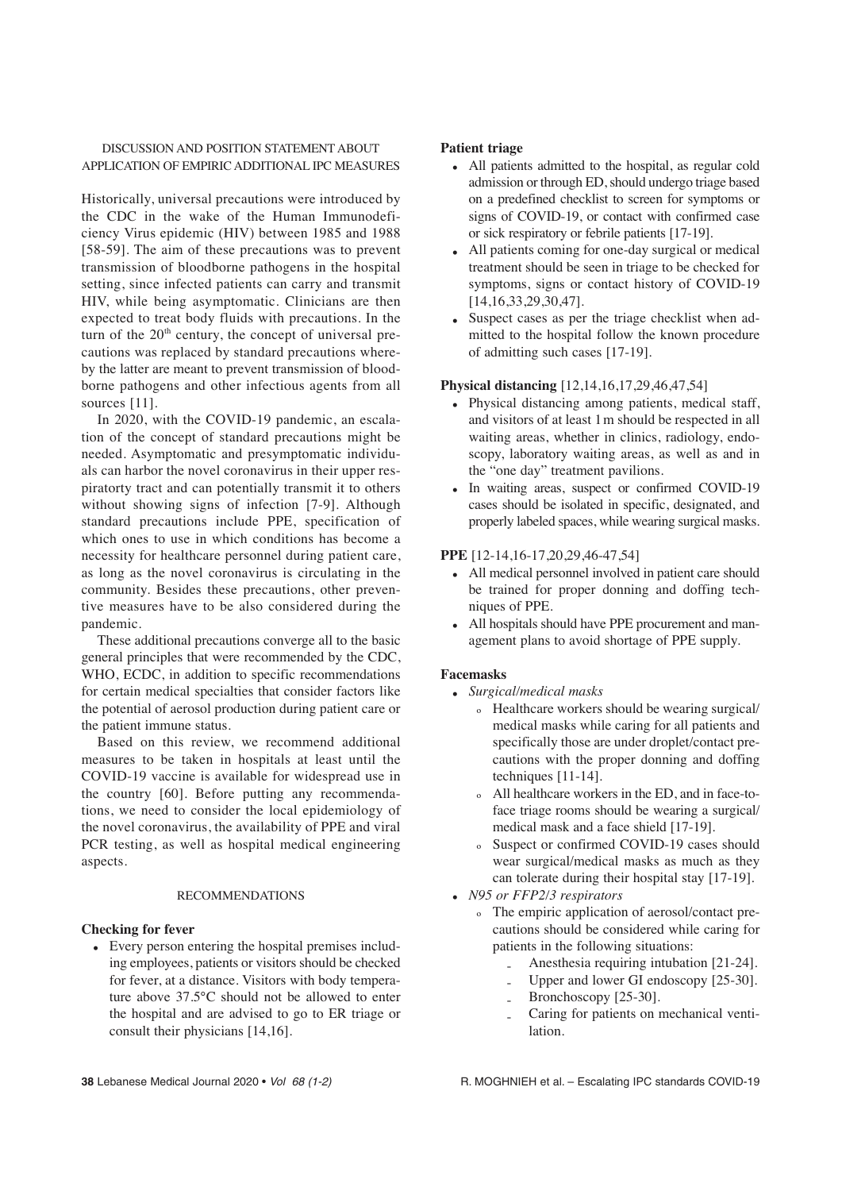### DISCUSSION AND POSITION STATEMENT ABOUT APPLICATION OF EMPIRIC ADDITIONAL IPC MEASURES

Historically, universal precautions were introduced by the CDC in the wake of the Human Immunodeficiency Virus epidemic (HIV) between 1985 and 1988 [58-59]. The aim of these precautions was to prevent transmission of bloodborne pathogens in the hospital setting, since infected patients can carry and transmit HIV, while being asymptomatic. Clinicians are then expected to treat body fluids with precautions. In the turn of the  $20<sup>th</sup>$  century, the concept of universal precautions was replaced by standard precautions whereby the latter are meant to prevent transmission of bloodborne pathogens and other infectious agents from all sources [11].

In 2020, with the COVID-19 pandemic, an escalation of the concept of standard precautions might be needed. Asymptomatic and presymptomatic individuals can harbor the novel coronavirus in their upper respiratorty tract and can potentially transmit it to others without showing signs of infection [7-9]. Although standard precautions include PPE, specification of which ones to use in which conditions has become a necessity for healthcare personnel during patient care, as long as the novel coronavirus is circulating in the community. Besides these precautions, other preventive measures have to be also considered during the pandemic.

These additional precautions converge all to the basic general principles that were recommended by the CDC, WHO, ECDC, in addition to specific recommendations for certain medical specialties that consider factors like the potential of aerosol production during patient care or the patient immune status.

Based on this review, we recommend additional measures to be taken in hospitals at least until the COVID-19 vaccine is available for widespread use in the country [60]. Before putting any recommendations, we need to consider the local epidemiology of the novel coronavirus, the availability of PPE and viral PCR testing, as well as hospital medical engineering aspects.

### RECOMMENDATIONS

### **Checking for fever**

• Every person entering the hospital premises including employees, patients or visitors should be checked for fever, at a distance. Visitors with body temperature above 37.5°C should not be allowed to enter the hospital and are advised to go to ER triage or consult their physicians [14,16].

### **Patient triage**

- All patients admitted to the hospital, as regular cold admission or through ED, should undergo triage based on a predefined checklist to screen for symptoms or signs of COVID-19, or contact with confirmed case or sick respiratory or febrile patients [17-19].
- All patients coming for one-day surgical or medical treatment should be seen in triage to be checked for symptoms, signs or contact history of COVID-19 [14,16,33,29,30,47].
- Suspect cases as per the triage checklist when admitted to the hospital follow the known procedure of admitting such cases [17-19].

### **Physical distancing** [12,14,16,17,29,46,47,54]

- Physical distancing among patients, medical staff, and visitors of at least 1m should be respected in all waiting areas, whether in clinics, radiology, endoscopy, laboratory waiting areas, as well as and in the "one day" treatment pavilions.
- In waiting areas, suspect or confirmed COVID-19 cases should be isolated in specific, designated, and properly labeled spaces, while wearing surgical masks.

### **PPE** [12-14,16-17,20,29,46-47,54]

- All medical personnel involved in patient care should be trained for proper donning and doffing techniques of PPE.
- All hospitals should have PPE procurement and management plans to avoid shortage of PPE supply.

### **Facemasks**

- *Surgical/medical masks*
	- º Healthcare workers should be wearing surgical/ medical masks while caring for all patients and specifically those are under droplet/contact precautions with the proper donning and doffing techniques [11-14].
	- º All healthcare workers in the ED, and in face-toface triage rooms should be wearing a surgical/ medical mask and a face shield [17-19].
	- º Suspect or confirmed COVID-19 cases should wear surgical/medical masks as much as they can tolerate during their hospital stay [17-19].
- *N95 or FFP2/3 respirators*
	- o The empiric application of aerosol/contact precautions should be considered while caring for patients in the following situations:
		- Anesthesia requiring intubation [21-24].
		- Upper and lower GI endoscopy [25-30].
		- Bronchoscopy [25-30].
		- Caring for patients on mechanical ventilation.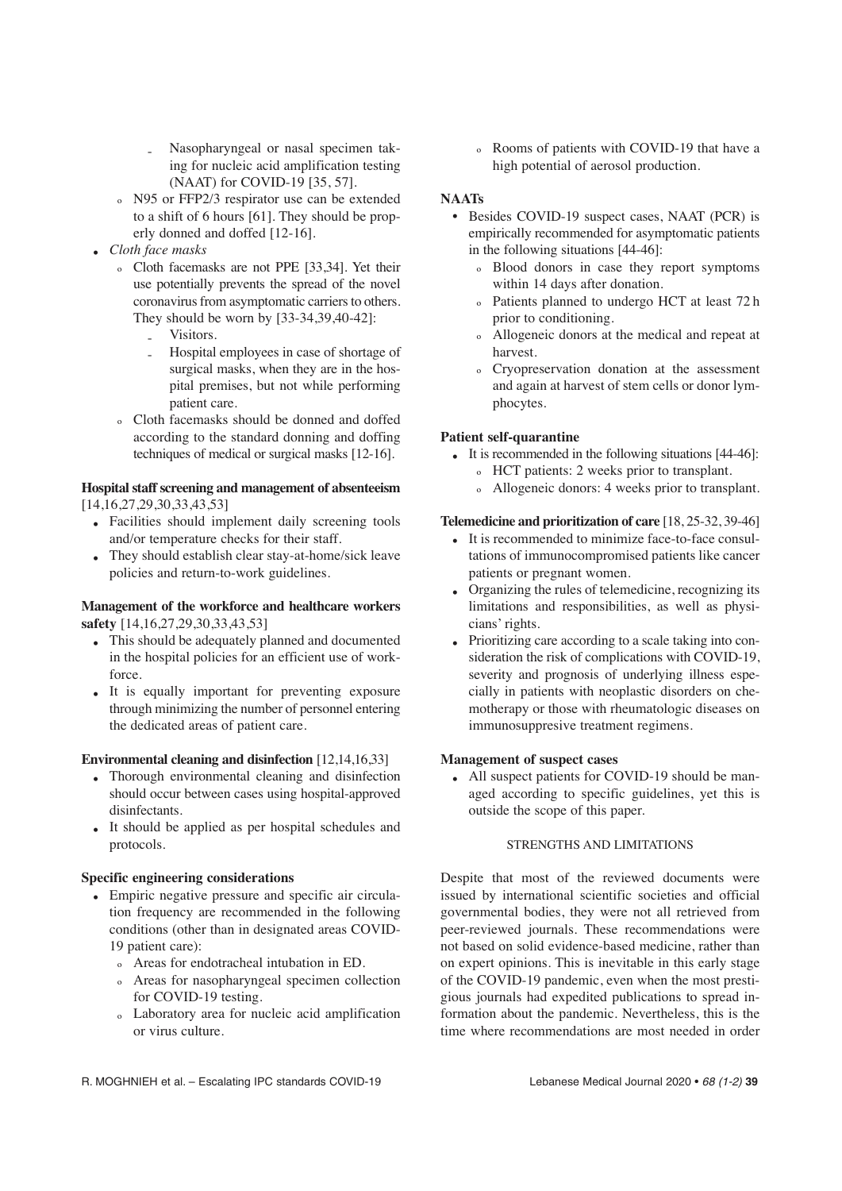- Nasopharyngeal or nasal specimen taking for nucleic acid amplification testing (NAAT) for COVID-19 [35, 57].
- º N95 or FFP2/3 respirator use can be extended to a shift of 6 hours [61]. They should be properly donned and doffed [12-16].
- *Cloth face masks*
	- º Cloth facemasks are not PPE [33,34]. Yet their use potentially prevents the spread of the novel coronavirus from asymptomatic carriers to others. They should be worn by [33-34,39,40-42]:
		- Visitors.
		- Hospital employees in case of shortage of surgical masks, when they are in the hospital premises, but not while performing patient care.
	- º Cloth facemasks should be donned and doffed according to the standard donning and doffing techniques of medical or surgical masks [12-16].

### **Hospital staff screening and management of absenteeism** [14,16,27,29,30,33,43,53]

- Facilities should implement daily screening tools and/or temperature checks for their staff.
- They should establish clear stay-at-home/sick leave policies and return-to-work guidelines.

### **Management of the workforce and healthcare workers safety** [14,16,27,29,30,33,43,53]

- This should be adequately planned and documented in the hospital policies for an efficient use of workforce.
- It is equally important for preventing exposure through minimizing the number of personnel entering the dedicated areas of patient care.

### **Environmental cleaning and disinfection** [12,14,16,33]

- Thorough environmental cleaning and disinfection should occur between cases using hospital-approved disinfectants.
- It should be applied as per hospital schedules and protocols.

### **Specific engineering considerations**

- Empiric negative pressure and specific air circulation frequency are recommended in the following conditions (other than in designated areas COVID-19 patient care):
	- º Areas for endotracheal intubation in ED.
	- º Areas for nasopharyngeal specimen collection for COVID-19 testing.
	- º Laboratory area for nucleic acid amplification or virus culture.

º Rooms of patients with COVID-19 that have a high potential of aerosol production.

### **NAATs**

- Besides COVID-19 suspect cases, NAAT (PCR) is empirically recommended for asymptomatic patients in the following situations [44-46]:
	- º Blood donors in case they report symptoms within 14 days after donation.
	- º Patients planned to undergo HCT at least 72 h prior to conditioning.
	- º Allogeneic donors at the medical and repeat at harvest.
	- º Cryopreservation donation at the assessment and again at harvest of stem cells or donor lymphocytes.

### **Patient self-quarantine**

- It is recommended in the following situations [44-46]:
	- º HCT patients: 2 weeks prior to transplant.
	- º Allogeneic donors: 4 weeks prior to transplant.

### **Telemedicine and prioritization of care** [18, 25-32, 39-46]

- It is recommended to minimize face-to-face consultations of immunocompromised patients like cancer patients or pregnant women.
- Organizing the rules of telemedicine, recognizing its limitations and responsibilities, as well as physicians' rights.
- Prioritizing care according to a scale taking into consideration the risk of complications with COVID-19, severity and prognosis of underlying illness especially in patients with neoplastic disorders on chemotherapy or those with rheumatologic diseases on immunosuppresive treatment regimens.

### **Management of suspect cases**

• All suspect patients for COVID-19 should be managed according to specific guidelines, yet this is outside the scope of this paper.

### STRENGTHS AND LIMITATIONS

Despite that most of the reviewed documents were issued by international scientific societies and official governmental bodies, they were not all retrieved from peer-reviewed journals. These recommendations were not based on solid evidence-based medicine, rather than on expert opinions. This is inevitable in this early stage of the COVID-19 pandemic, even when the most prestigious journals had expedited publications to spread information about the pandemic. Nevertheless, this is the time where recommendations are most needed in order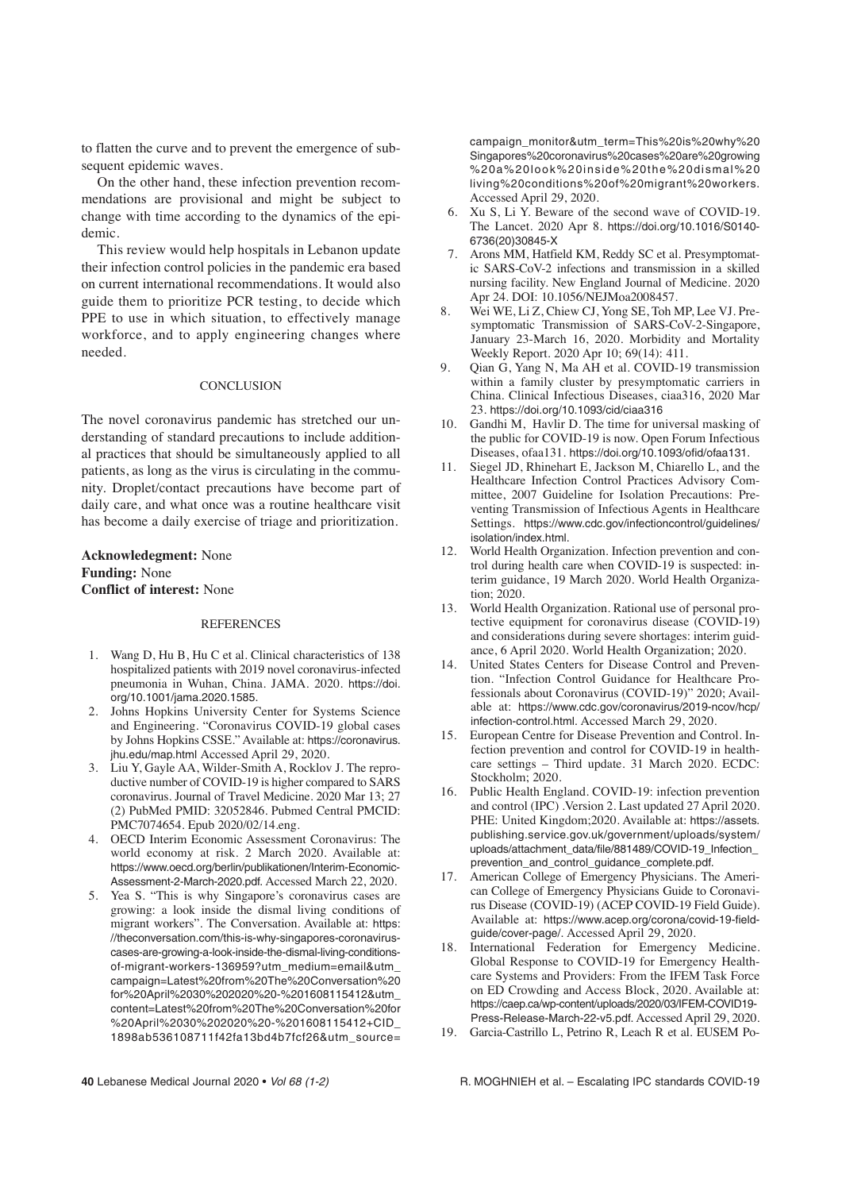to flatten the curve and to prevent the emergence of subsequent epidemic waves.

On the other hand, these infection prevention recommendations are provisional and might be subject to change with time according to the dynamics of the epidemic.

This review would help hospitals in Lebanon update their infection control policies in the pandemic era based on current international recommendations. It would also guide them to prioritize PCR testing, to decide which PPE to use in which situation, to effectively manage workforce, and to apply engineering changes where needed.

### **CONCLUSION**

The novel coronavirus pandemic has stretched our understanding of standard precautions to include additional practices that should be simultaneously applied to all patients, as long as the virus is circulating in the community. Droplet/contact precautions have become part of daily care, and what once was a routine healthcare visit has become a daily exercise of triage and prioritization.

**Acknowledegment:** None **Funding:** None **Conflict of interest:** None

### **REFERENCES**

- 1. Wang D, Hu B, Hu C et al. Clinical characteristics of 138 hospitalized patients with 2019 novel coronavirus-infected pneumonia in Wuhan, China. JAMA. 2020. https://doi. org/10.1001/jama.2020.1585.
- 2. Johns Hopkins University Center for Systems Science and Engineering. "Coronavirus COVID-19 global cases by Johns Hopkins CSSE." Available at: https://coronavirus. jhu.edu/map.html Accessed April 29, 2020.
- 3. Liu Y, Gayle AA, Wilder-Smith A, Rocklov J. The reproductive number of COVID-19 is higher compared to SARS coronavirus. Journal of Travel Medicine. 2020 Mar 13; 27 (2) PubMed PMID: 32052846. Pubmed Central PMCID: PMC7074654. Epub 2020/02/14.eng.
- 4. OECD Interim Economic Assessment Coronavirus: The world economy at risk. 2 March 2020. Available at: https://www.oecd.org/berlin/publikationen/Interim-Economic-Assessment-2-March-2020.pdf. Accessed March 22, 2020.
- 5. Yea S. "This is why Singapore's coronavirus cases are growing: a look inside the dismal living conditions of migrant workers". The Conversation. Available at: https: //theconversation.com/this-is-why-singapores-coronaviruscases-are-growing-a-look-inside-the-dismal-living-conditionsof-migrant-workers-136959?utm\_medium=email&utm\_ campaign=Latest%20from%20The%20Conversation%20 for%20April%2030%202020%20-%201608115412&utm\_ content=Latest%20from%20The%20Conversation%20for %20April%2030%202020%20-%201608115412+CID\_ 1898ab536108711f42fa13bd4b7fcf26&utm\_source=

campaign\_monitor&utm\_term=This%20is%20why%20 Singapores%20coronavirus%20cases%20are%20growing %20a%20look%20inside%20the%20dismal%20 living%20conditions%20of%20migrant%20workers. Accessed April 29, 2020.

- 6. Xu S, Li Y. Beware of the second wave of COVID-19. The Lancet. 2020 Apr 8. https://doi.org/10.1016/S0140- 6736(20)30845-X
- 7. Arons MM, Hatfield KM, Reddy SC et al. Presymptomatic SARS-CoV-2 infections and transmission in a skilled nursing facility. New England Journal of Medicine. 2020 Apr 24. DOI: 10.1056/NEJMoa2008457.
- 8. Wei WE, Li Z, Chiew CJ, Yong SE, Toh MP, Lee VJ. Presymptomatic Transmission of SARS-CoV-2-Singapore, January 23-March 16, 2020. Morbidity and Mortality Weekly Report. 2020 Apr 10; 69(14): 411.
- 9. Qian G, Yang N, Ma AH et al. COVID-19 transmission within a family cluster by presymptomatic carriers in China. Clinical Infectious Diseases, ciaa316, 2020 Mar 23. https://doi.org/10.1093/cid/ciaa316
- 10. Gandhi M, Havlir D. The time for universal masking of the public for COVID-19 is now. Open Forum Infectious Diseases, ofaa131. https://doi.org/10.1093/ofid/ofaa131.
- 11. Siegel JD, Rhinehart E, Jackson M, Chiarello L, and the Healthcare Infection Control Practices Advisory Committee, 2007 Guideline for Isolation Precautions: Preventing Transmission of Infectious Agents in Healthcare Settings. https://www.cdc.gov/infectioncontrol/guidelines/ isolation/index.html.
- 12. World Health Organization. Infection prevention and control during health care when COVID-19 is suspected: interim guidance, 19 March 2020. World Health Organization; 2020.
- 13. World Health Organization. Rational use of personal protective equipment for coronavirus disease (COVID-19) and considerations during severe shortages: interim guidance, 6 April 2020. World Health Organization; 2020.
- 14. United States Centers for Disease Control and Prevention. "Infection Control Guidance for Healthcare Professionals about Coronavirus (COVID-19)" 2020; Available at: https://www.cdc.gov/coronavirus/2019-ncov/hcp/ infection-control.html. Accessed March 29, 2020.
- 15. European Centre for Disease Prevention and Control. Infection prevention and control for COVID-19 in healthcare settings – Third update. 31 March 2020. ECDC: Stockholm; 2020.
- 16. Public Health England. COVID-19: infection prevention and control (IPC) .Version 2. Last updated 27 April 2020. PHE: United Kingdom;2020. Available at: https://assets. publishing.service.gov.uk/government/uploads/system/ uploads/attachment\_data/file/881489/COVID-19\_Infection\_ prevention and control quidance complete.pdf.
- 17. American College of Emergency Physicians. The American College of Emergency Physicians Guide to Coronavirus Disease (COVID-19) (ACEP COVID-19 Field Guide). Available at: https://www.acep.org/corona/covid-19-fieldguide/cover-page/. Accessed April 29, 2020.
- 18. International Federation for Emergency Medicine. Global Response to COVID-19 for Emergency Healthcare Systems and Providers: From the IFEM Task Force on ED Crowding and Access Block, 2020. Available at: https://caep.ca/wp-content/uploads/2020/03/IFEM-COVID19- Press-Release-March-22-v5.pdf. Accessed April 29, 2020.
- 19. Garcia-Castrillo L, Petrino R, Leach R et al. EUSEM Po-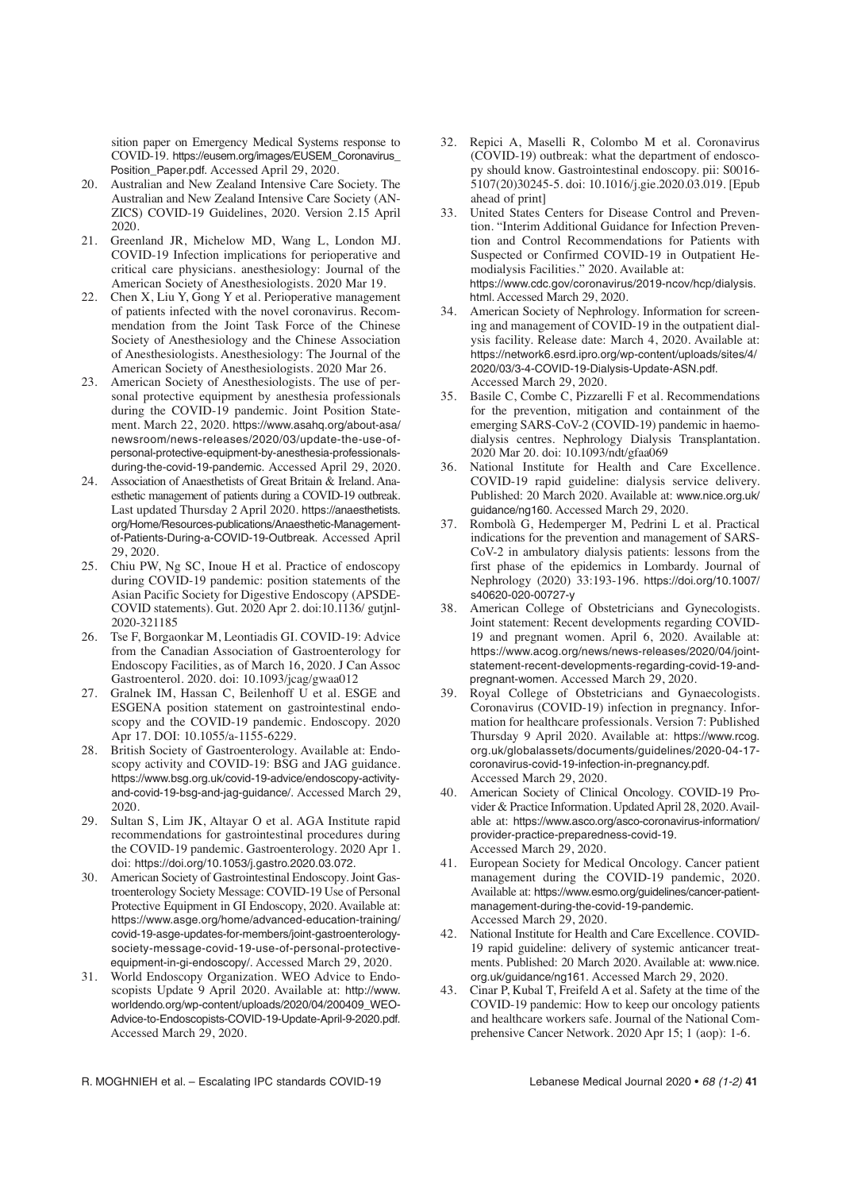sition paper on Emergency Medical Systems response to COVID-19. https://eusem.org/images/EUSEM\_Coronavirus\_ Position\_Paper.pdf. Accessed April 29, 2020.

- 20. Australian and New Zealand Intensive Care Society. The Australian and New Zealand Intensive Care Society (AN-ZICS) COVID-19 Guidelines, 2020. Version 2.15 April 2020.
- 21. Greenland JR, Michelow MD, Wang L, London MJ. COVID-19 Infection implications for perioperative and critical care physicians. anesthesiology: Journal of the American Society of Anesthesiologists. 2020 Mar 19.
- 22. Chen X, Liu Y, Gong Y et al. Perioperative management of patients infected with the novel coronavirus. Recommendation from the Joint Task Force of the Chinese Society of Anesthesiology and the Chinese Association of Anesthesiologists. Anesthesiology: The Journal of the American Society of Anesthesiologists. 2020 Mar 26.
- 23. American Society of Anesthesiologists. The use of personal protective equipment by anesthesia professionals during the COVID-19 pandemic. Joint Position Statement. March 22, 2020. https://www.asahq.org/about-asa/ newsroom/news-releases/2020/03/update-the-use-ofpersonal-protective-equipment-by-anesthesia-professionalsduring-the-covid-19-pandemic. Accessed April 29, 2020.
- 24. Association of Anaesthetists of Great Britain & Ireland. Anaesthetic management of patients during a COVID-19 outbreak. Last updated Thursday 2 April 2020. https://anaesthetists. org/Home/Resources-publications/Anaesthetic-Managementof-Patients-During-a-COVID-19-Outbreak. Accessed April 29, 2020.
- 25. Chiu PW, Ng SC, Inoue H et al. Practice of endoscopy during COVID-19 pandemic: position statements of the Asian Pacific Society for Digestive Endoscopy (APSDE-COVID statements). Gut. 2020 Apr 2. doi:10.1136/ gutjnl-2020-321185
- 26. Tse F, Borgaonkar M, Leontiadis GI. COVID-19: Advice from the Canadian Association of Gastroenterology for Endoscopy Facilities, as of March 16, 2020. J Can Assoc Gastroenterol. 2020. doi: 10.1093/jcag/gwaa012
- 27. Gralnek IM, Hassan C, Beilenhoff U et al. ESGE and ESGENA position statement on gastrointestinal endoscopy and the COVID-19 pandemic. Endoscopy. 2020 Apr 17. DOI: 10.1055/a-1155-6229.
- 28. British Society of Gastroenterology. Available at: Endoscopy activity and COVID-19: BSG and JAG guidance. https://www.bsg.org.uk/covid-19-advice/endoscopy-activityand-covid-19-bsg-and-jag-guidance/. Accessed March 29, 2020.
- 29. Sultan S, Lim JK, Altayar O et al. AGA Institute rapid recommendations for gastrointestinal procedures during the COVID-19 pandemic. Gastroenterology. 2020 Apr 1. doi: https://doi.org/10.1053/j.gastro.2020.03.072.
- 30. American Society of Gastrointestinal Endoscopy. Joint Gastroenterology Society Message: COVID-19 Use of Personal Protective Equipment in GI Endoscopy, 2020. Available at: https://www.asge.org/home/advanced-education-training/ covid-19-asge-updates-for-members/joint-gastroenterologysociety-message-covid-19-use-of-personal-protectiveequipment-in-gi-endoscopy/. Accessed March 29, 2020.
- 31. World Endoscopy Organization. WEO Advice to Endoscopists Update 9 April 2020. Available at: http://www. worldendo.org/wp-content/uploads/2020/04/200409\_WEO-Advice-to-Endoscopists-COVID-19-Update-April-9-2020.pdf. Accessed March 29, 2020.
- 32. Repici A, Maselli R, Colombo M et al. Coronavirus (COVID-19) outbreak: what the department of endoscopy should know. Gastrointestinal endoscopy. pii: S0016- 5107(20)30245-5. doi: 10.1016/j.gie.2020.03.019. [Epub ahead of print]
- 33. United States Centers for Disease Control and Prevention. "Interim Additional Guidance for Infection Prevention and Control Recommendations for Patients with Suspected or Confirmed COVID-19 in Outpatient Hemodialysis Facilities." 2020. Available at: https://www.cdc.gov/coronavirus/2019-ncov/hcp/dialysis. html. Accessed March 29, 2020.
- 34. American Society of Nephrology. Information for screening and management of COVID-19 in the outpatient dialysis facility. Release date: March 4, 2020. Available at: https://network6.esrd.ipro.org/wp-content/uploads/sites/4/ 2020/03/3-4-COVID-19-Dialysis-Update-ASN.pdf. Accessed March 29, 2020.
- 35. Basile C, Combe C, Pizzarelli F et al. Recommendations for the prevention, mitigation and containment of the emerging SARS-CoV-2 (COVID-19) pandemic in haemodialysis centres. Nephrology Dialysis Transplantation. 2020 Mar 20. doi: 10.1093/ndt/gfaa069
- National Institute for Health and Care Excellence. COVID-19 rapid guideline: dialysis service delivery. Published: 20 March 2020. Available at: www.nice.org.uk/ guidance/ng160. Accessed March 29, 2020.
- 37. Rombolà G, Hedemperger M, Pedrini L et al. Practical indications for the prevention and management of SARS-CoV-2 in ambulatory dialysis patients: lessons from the first phase of the epidemics in Lombardy. Journal of Nephrology (2020) 33:193-196. https://doi.org/10.1007/ s40620-020-00727-y
- 38. American College of Obstetricians and Gynecologists. Joint statement: Recent developments regarding COVID-19 and pregnant women. April 6, 2020. Available at: https://www.acog.org/news/news-releases/2020/04/jointstatement-recent-developments-regarding-covid-19-andpregnant-women. Accessed March 29, 2020.
- 39. Royal College of Obstetricians and Gynaecologists. Coronavirus (COVID-19) infection in pregnancy. Information for healthcare professionals. Version 7: Published Thursday 9 April 2020. Available at: https://www.rcog. org.uk/globalassets/documents/guidelines/2020-04-17 coronavirus-covid-19-infection-in-pregnancy.pdf. Accessed March 29, 2020.
- 40. American Society of Clinical Oncology. COVID-19 Provider & Practice Information. Updated April 28, 2020. Available at: https://www.asco.org/asco-coronavirus-information/ provider-practice-preparedness-covid-19. Accessed March 29, 2020.
- 41. European Society for Medical Oncology. Cancer patient management during the COVID-19 pandemic, 2020. Available at: https://www.esmo.org/guidelines/cancer-patientmanagement-during-the-covid-19-pandemic. Accessed March 29, 2020.
- 42. National Institute for Health and Care Excellence. COVID-19 rapid guideline: delivery of systemic anticancer treatments. Published: 20 March 2020. Available at: www.nice. org.uk/guidance/ng161. Accessed March 29, 2020.
- 43. Cinar P, Kubal T, Freifeld A et al. Safety at the time of the COVID-19 pandemic: How to keep our oncology patients and healthcare workers safe. Journal of the National Comprehensive Cancer Network. 2020 Apr 15; 1 (aop): 1-6.

R. MOGHNIEH et al. – Escalating IPC standards COVID-19 Lebanese Medical Journal 2020 • 68 (1-2) **41**